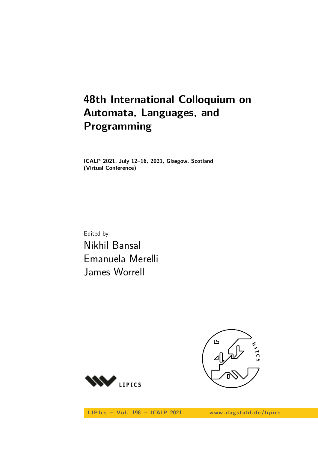# **48th International Colloquium on Automata, Languages, and Programming**

**ICALP 2021, July 12–16, 2021, Glasgow, Scotland (Virtual Conference)**

Edited by Nikhil Bansal Emanuela Merelli James Worrell



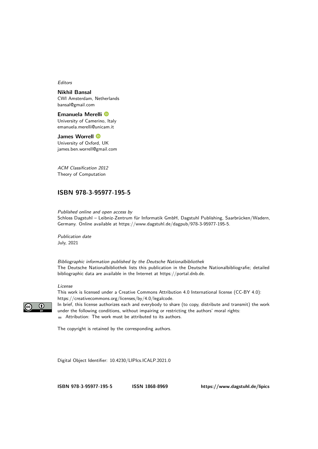Editors

**Nikhil Bansal** CWI Amsterdam, Netherlands [bansal@gmail.com](mailto:bansal@gmail.com)

**Emanuela Merelli** University of Camerino, Italy [emanuela.merelli@unicam.it](mailto:emanuela.merelli@unicam.it)

**James Worrell** University of Oxford, UK [james.ben.worrell@gmail.com](mailto:james.ben.worrell@gmail.com)

ACM Classification 2012 Theory of Computation

# **[ISBN 978-3-95977-195-5](https://www.dagstuhl.de/dagpub/978-3-95977-195-5)**

Published online and open access by Schloss Dagstuhl – Leibniz-Zentrum für Informatik GmbH, Dagstuhl Publishing, Saarbrücken/Wadern, Germany. Online available at [https://www.dagstuhl.de/dagpub/978-3-95977-195-5.](https://www.dagstuhl.de/dagpub/978-3-95977-195-5)

Publication date July, 2021

Bibliographic information published by the Deutsche Nationalbibliothek The Deutsche Nationalbibliothek lists this publication in the Deutsche Nationalbibliografie; detailed bibliographic data are available in the Internet at [https://portal.dnb.de.](https://portal.dnb.de)

#### License

 $\odot$ 

This work is licensed under a Creative Commons Attribution 4.0 International license (CC-BY 4.0): [https://creativecommons.org/licenses/by/4.0/legalcode.](https://creativecommons.org/licenses/by/4.0/legalcode)

In brief, this license authorizes each and everybody to share (to copy, distribute and transmit) the work under the following conditions, without impairing or restricting the authors' moral rights: Attribution: The work must be attributed to its authors.

The copyright is retained by the corresponding authors.

Digital Object Identifier: [10.4230/LIPIcs.ICALP.2021.0](https://doi.org/10.4230/LIPIcs.ICALP.2021.0)

**[ISBN 978-3-95977-195-5](https://www.dagstuhl.de/dagpub/978-3-95977-195-5) [ISSN 1868-8969](https://www.dagstuhl.de/dagpub/1868-8969)<https://www.dagstuhl.de/lipics>**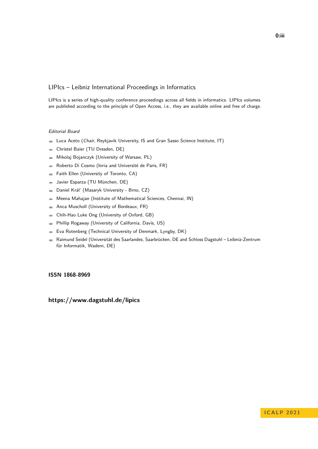# LIPIcs – Leibniz International Proceedings in Informatics

LIPIcs is a series of high-quality conference proceedings across all fields in informatics. LIPIcs volumes are published according to the principle of Open Access, i.e., they are available online and free of charge.

## Editorial Board

- **Luca Aceto** (*Chair*, Reykjavik University, IS and Gran Sasso Science Institute, IT)
- Christel Baier (TU Dresden, DE)  $\equiv$
- Mikolaj Bojanczyk (University of Warsaw, PL)  $\equiv$
- Roberto Di Cosmo (Inria and Université de Paris, FR)  $\overline{\phantom{a}}$
- Faith Ellen (University of Toronto, CA)  $\equiv$
- Javier Esparza (TU München, DE)  $\blacksquare$
- Daniel Král' (Masaryk University Brno, CZ)  $\blacksquare$
- Meena Mahajan (Institute of Mathematical Sciences, Chennai, IN)  $\overline{a}$
- Anca Muscholl (University of Bordeaux, FR)  $\overline{\phantom{a}}$
- Chih-Hao Luke Ong (University of Oxford, GB)  $\blacksquare$
- Phillip Rogaway (University of California, Davis, US)  $\blacksquare$
- Eva Rotenberg (Technical University of Denmark, Lyngby, DK)  $\blacksquare$
- Raimund Seidel (Universität des Saarlandes, Saarbrücken, DE and Schloss Dagstuhl Leibniz-Zentrum  $\sim$ für Informatik, Wadern, DE)

### **[ISSN 1868-8969](https://www.dagstuhl.de/dagpub/1868-8969)**

**<https://www.dagstuhl.de/lipics>**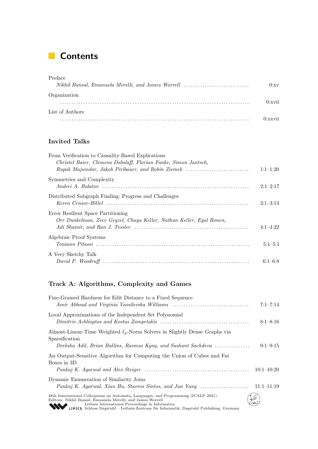# **Contents**

| Preface                                            |        |
|----------------------------------------------------|--------|
| Nikhil Bansal, Emanuela Merelli, and James Worrell | 0:xy   |
| Organization                                       |        |
|                                                    | 0:xvii |
| List of Authors                                    |        |
|                                                    |        |

# **Invited Talks**

| From Verification to Causality-Based Explications<br>Christel Baier, Clemens Dubslaff, Florian Funke, Simon Jantsch, |            |
|----------------------------------------------------------------------------------------------------------------------|------------|
| Rupak Majumdar, Jakob Piribauer, and Robin Ziemek                                                                    | $1:1-1:20$ |
| Symmetries and Complexity                                                                                            | $2:1-2:17$ |
| Distributed Subgraph Finding: Progress and Challenges                                                                | $3:1-3:14$ |
| Error Resilient Space Partitioning<br>Orr Dunkelman, Zeev Geyzel, Chaya Keller, Nathan Keller, Eyal Ronen,           | $4:1-4:22$ |
| Algebraic Proof Systems                                                                                              | $5:1-5:1$  |
| A Very Sketchy Talk                                                                                                  | $6:1-6:8$  |

# **Track A: Algorithms, Complexity and Games**

| Fine-Grained Hardness for Edit Distance to a Fixed Sequence<br>Amir Abboud and Virginia Vassilevska Williams                                                                                                                                                                                     | $7:1 - 7:14$   |
|--------------------------------------------------------------------------------------------------------------------------------------------------------------------------------------------------------------------------------------------------------------------------------------------------|----------------|
| Local Approximations of the Independent Set Polynomial                                                                                                                                                                                                                                           | $8:1 - 8:16$   |
| Almost-Linear-Time Weighted $\ell_p$ -Norm Solvers in Slightly Dense Graphs via<br>Sparsification<br>Deeksha Adil, Brian Bullins, Rasmus Kyng, and Sushant Sachdeva                                                                                                                              | $9:1-9:15$     |
| An Output-Sensitive Algorithm for Computing the Union of Cubes and Fat<br>Boxes in 3D                                                                                                                                                                                                            | $10:1 - 10:20$ |
| Dynamic Enumeration of Similarity Joins<br>Pankaj K. Agarwal, Xiao Hu, Stavros Sintos, and Jun Yang                                                                                                                                                                                              | $11:1-11:19$   |
| 48th International Colloquium on Automata, Languages, and Programming (ICALP 2021).<br>Editors: Nikhil Bansal, Emanuela Merelli, and James Worrell<br>Leibniz International Proceedings in Informatics<br>LIPICS Schloss Dagstuhl – Leibniz-Zentrum für Informatik, Dagstuhl Publishing, Germany |                |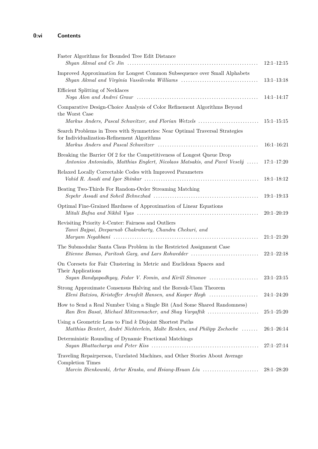| Faster Algorithms for Bounded Tree Edit Distance                                                                                                         | $12:1-12:15$   |
|----------------------------------------------------------------------------------------------------------------------------------------------------------|----------------|
| Improved Approximation for Longest Common Subsequence over Small Alphabets<br>Shyan Akmal and Virginia Vassilevska Williams                              | $13:1-13:18$   |
| Efficient Splitting of Necklaces                                                                                                                         | $14:1-14:17$   |
| Comparative Design-Choice Analysis of Color Refinement Algorithms Beyond<br>the Worst Case<br>Markus Anders, Pascal Schweitzer, and Florian Wetzels      | $15:1 - 15:15$ |
| Search Problems in Trees with Symmetries: Near Optimal Traversal Strategies<br>for Individualization-Refinement Algorithms                               | $16:1-16:21$   |
| Breaking the Barrier Of 2 for the Competitiveness of Longest Queue Drop<br>Antonios Antoniadis, Matthias Englert, Nicolaos Matsakis, and Pavel Veselý    | $17:1 - 17:20$ |
| Relaxed Locally Correctable Codes with Improved Parameters                                                                                               | $18:1-18:12$   |
| Beating Two-Thirds For Random-Order Streaming Matching                                                                                                   | $19:1 - 19:13$ |
| Optimal Fine-Grained Hardness of Approximation of Linear Equations                                                                                       | $20:1 - 20:19$ |
| Revisiting Priority $k$ -Center: Fairness and Outliers<br>Tanvi Bajpai, Deeparnab Chakrabarty, Chandra Chekuri, and                                      | $21:1 - 21:20$ |
| The Submodular Santa Claus Problem in the Restricted Assignment Case<br>Etienne Bamas, Paritosh Garg, and Lars Rohwedder                                 | $22:1-22:18$   |
| On Coresets for Fair Clustering in Metric and Euclidean Spaces and<br>Their Applications<br>Sayan Bandyapadhyay, Fedor V. Fomin, and Kirill Simonov      | $23:1-23:15$   |
| Strong Approximate Consensus Halving and the Borsuk-Ulam Theorem<br>Eleni Batziou, Kristoffer Arnsfelt Hansen, and Kasper Høgh                           | $24:1 - 24:20$ |
| How to Send a Real Number Using a Single Bit (And Some Shared Randomness)<br>Ran Ben Basat, Michael Mitzenmacher, and Shay Vargaftik                     | $25:1 - 25:20$ |
| Using a Geometric Lens to Find $k$ Disjoint Shortest Paths<br>Matthias Bentert, André Nichterlein, Malte Renken, and Philipp Zschoche                    | $26:1 - 26:14$ |
| Deterministic Rounding of Dynamic Fractional Matchings                                                                                                   | $27:1 - 27:14$ |
| Traveling Repairperson, Unrelated Machines, and Other Stories About Average<br>Completion Times<br>Marcin Bienkowski, Artur Kraska, and Hsiang-Hsuan Liu | $28:1-28:20$   |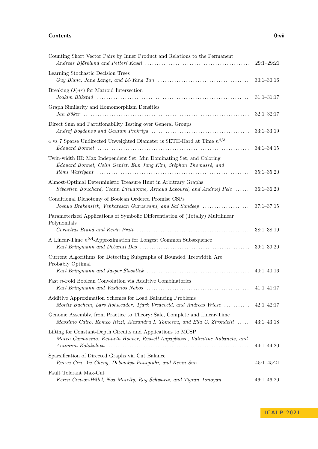### **Contents 0:vii**

| Counting Short Vector Pairs by Inner Product and Relations to the Permanent                                                                                                                                                                                                                                                      | $29:1 - 29:21$ |
|----------------------------------------------------------------------------------------------------------------------------------------------------------------------------------------------------------------------------------------------------------------------------------------------------------------------------------|----------------|
| Learning Stochastic Decision Trees                                                                                                                                                                                                                                                                                               | $30:1 - 30:16$ |
| Breaking $O(nr)$ for Matroid Intersection                                                                                                                                                                                                                                                                                        | $31:1 - 31:17$ |
| Graph Similarity and Homomorphism Densities                                                                                                                                                                                                                                                                                      | $32:1 - 32:17$ |
| Direct Sum and Partitionability Testing over General Groups                                                                                                                                                                                                                                                                      | $33:1 - 33:19$ |
| 4 vs 7 Sparse Undirected Unweighted Diameter is SETH-Hard at Time $n^{4/3}$                                                                                                                                                                                                                                                      | $34:1 - 34:15$ |
| Twin-width III: Max Independent Set, Min Dominating Set, and Coloring<br>Édouard Bonnet, Colin Geniet, Eun Jung Kim, Stéphan Thomassé, and                                                                                                                                                                                       | $35:1 - 35:20$ |
| Almost-Optimal Deterministic Treasure Hunt in Arbitrary Graphs<br>Sébastien Bouchard, Yoann Dieudonné, Arnaud Labourel, and Andrzej Pelc                                                                                                                                                                                         | $36:1 - 36:20$ |
| Conditional Dichotomy of Boolean Ordered Promise CSPs<br>Joshua Brakensiek, Venkatesan Guruswami, and Sai Sandeep                                                                                                                                                                                                                | $37:1 - 37:15$ |
| Parameterized Applications of Symbolic Differentiation of (Totally) Multilinear<br>Polynomials<br>Cornelius Brand and Kevin Pratt (a) contain the contract of the state of the container container that the containing of the state of the state of the state of the state of the state of the state of the state of the state o | $38:1 - 38:19$ |
| A Linear-Time $n^{0.4}$ -Approximation for Longest Common Subsequence                                                                                                                                                                                                                                                            | $39:1 - 39:20$ |
| Current Algorithms for Detecting Subgraphs of Bounded Treewidth Are<br>Probably Optimal                                                                                                                                                                                                                                          | $40:1 - 40:16$ |
| Fast n-Fold Boolean Convolution via Additive Combinatorics                                                                                                                                                                                                                                                                       | $41:1-41:17$   |
| Additive Approximation Schemes for Load Balancing Problems<br>Moritz Buchem, Lars Rohwedder, Tjark Vredeveld, and Andreas Wiese  42:1–42:17                                                                                                                                                                                      |                |
| Genome Assembly, from Practice to Theory: Safe, Complete and Linear-Time<br>Massimo Cairo, Romeo Rizzi, Alexandru I. Tomescu, and Elia C. Zirondelli                                                                                                                                                                             | $43:1-43:18$   |
| Lifting for Constant-Depth Circuits and Applications to MCSP<br>Marco Carmosino, Kenneth Hoover, Russell Impagliazzo, Valentine Kabanets, and                                                                                                                                                                                    | $44:1 - 44:20$ |
| Sparsification of Directed Graphs via Cut Balance<br>Ruoxu Cen, Yu Cheng, Debmalya Panigrahi, and Kevin Sun                                                                                                                                                                                                                      | $45:1 - 45:21$ |
| Fault Tolerant Max-Cut<br>Keren Censor-Hillel, Noa Marelly, Roy Schwartz, and Tigran Tonoyan                                                                                                                                                                                                                                     | $46:1 - 46:20$ |

**I C A L P 2 0 2 1**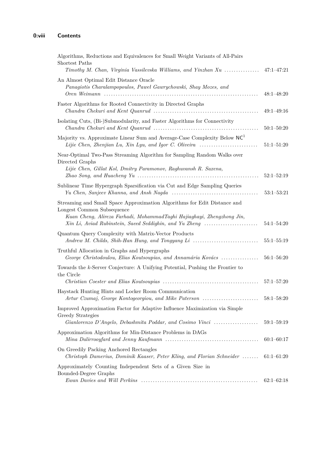| Algorithms, Reductions and Equivalences for Small Weight Variants of All-Pairs<br>Shortest Paths<br>Timothy M. Chan, Virginia Vassilevska Williams, and Yinzhan $Xu$                                                                        | $47:1 - 47:21$ |
|---------------------------------------------------------------------------------------------------------------------------------------------------------------------------------------------------------------------------------------------|----------------|
| An Almost Optimal Edit Distance Oracle<br>Panagiotis Charalampopoulos, Paweł Gawrychowski, Shay Mozes, and                                                                                                                                  | $48:1 - 48:20$ |
| Faster Algorithms for Rooted Connectivity in Directed Graphs<br>$Chandra$ Chekuri and Kent Quanrud $\ldots \ldots \ldots \ldots \ldots \ldots \ldots \ldots \ldots \ldots \ldots \ldots$                                                    | $49:1 - 49:16$ |
| Isolating Cuts, (Bi-)Submodularity, and Faster Algorithms for Connectivity<br>$Chandra$ Chekuri and Kent Quanrud $\ldots \ldots \ldots \ldots \ldots \ldots \ldots \ldots \ldots \ldots \ldots \ldots$                                      | $50:1 - 50:20$ |
| Majority vs. Approximate Linear Sum and Average-Case Complexity Below NC <sup>1</sup><br>Lijie Chen, Zhenjian Lu, Xin Lyu, and Igor C. Oliveira                                                                                             | $51:1 - 51:20$ |
| Near-Optimal Two-Pass Streaming Algorithm for Sampling Random Walks over<br>Directed Graphs                                                                                                                                                 |                |
| Lijie Chen, Gillat Kol, Dmitry Paramonov, Raghuvansh R. Saxena,                                                                                                                                                                             | $52:1 - 52:19$ |
| Sublinear Time Hypergraph Sparsification via Cut and Edge Sampling Queries                                                                                                                                                                  | $53:1 - 53:21$ |
| Streaming and Small Space Approximation Algorithms for Edit Distance and<br>Longest Common Subsequence<br>Kuan Cheng, Alireza Farhadi, MohammadTaghi Hajiaghayi, Zhengzhong Jin,<br>Xin Li, Aviad Rubinstein, Saeed Seddighin, and Yu Zheng | $54:1 - 54:20$ |
| Quantum Query Complexity with Matrix-Vector Products<br>Andrew M. Childs, Shih-Han Hung, and Tongyang Li                                                                                                                                    | $55:1 - 55:19$ |
| Truthful Allocation in Graphs and Hypergraphs<br>George Christodoulou, Elias Koutsoupias, and Annamária Kovács                                                                                                                              | $56:1 - 56:20$ |
| Towards the $k$ -Server Conjecture: A Unifying Potential, Pushing the Frontier to<br>the Circle                                                                                                                                             |                |
|                                                                                                                                                                                                                                             | $57:1 - 57:20$ |
| Haystack Hunting Hints and Locker Room Communication<br>Artur Czumaj, George Kontogeorgiou, and Mike Paterson                                                                                                                               | $58:1 - 58:20$ |
| Improved Approximation Factor for Adaptive Influence Maximization via Simple<br>Greedy Strategies                                                                                                                                           |                |
| Gianlorenzo D'Angelo, Debashmita Poddar, and Cosimo Vinci                                                                                                                                                                                   | $59:1 - 59:19$ |
| Approximation Algorithms for Min-Distance Problems in DAGs                                                                                                                                                                                  | $60:1 - 60:17$ |
| On Greedily Packing Anchored Rectangles<br>Christoph Damerius, Dominik Kaaser, Peter Kling, and Florian Schneider                                                                                                                           | $61:1 - 61:20$ |
| Approximately Counting Independent Sets of a Given Size in<br>Bounded-Degree Graphs                                                                                                                                                         |                |
|                                                                                                                                                                                                                                             | $62:1-62:18$   |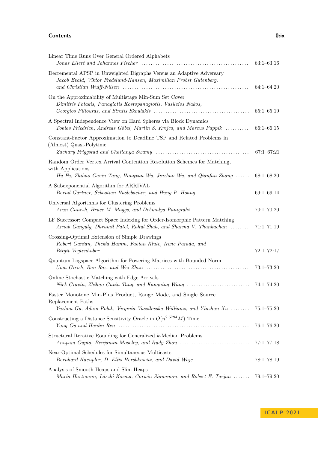### **Contents 0:ix**

| Linear Time Runs Over General Ordered Alphabets                                                                                                                     | $63:1 - 63:16$ |
|---------------------------------------------------------------------------------------------------------------------------------------------------------------------|----------------|
| Decremental APSP in Unweighted Digraphs Versus an Adaptive Adversary<br>Jacob Evald, Viktor Fredslund-Hansen, Maximilian Probst Gutenberg,                          | $64:1 - 64:20$ |
| On the Approximability of Multistage Min-Sum Set Cover<br>Dimitris Fotakis, Panagiotis Kostopanagiotis, Vasileios Nakos,                                            | $65:1 - 65:19$ |
| A Spectral Independence View on Hard Spheres via Block Dynamics<br>Tobias Friedrich, Andreas Göbel, Martin S. Krejca, and Marcus Pappik                             | $66:1 - 66:15$ |
| Constant-Factor Approximation to Deadline TSP and Related Problems in<br>(Almost) Quasi-Polytime                                                                    | $67:1 - 67:21$ |
| Random Order Vertex Arrival Contention Resolution Schemes for Matching,<br>with Applications<br>Hu Fu, Zhihao Gavin Tang, Hongxun Wu, Jinzhao Wu, and Qianfan Zhang | $68:1 - 68:20$ |
| A Subexponential Algorithm for ARRIVAL<br>Bernd Gärtner, Sebastian Haslebacher, and Hung P. Hoang                                                                   | $69:1 - 69:14$ |
| Universal Algorithms for Clustering Problems<br>Arun Ganesh, Bruce M. Maggs, and Debmalya Panigrahi                                                                 | $70:1 - 70:20$ |
| LF Successor: Compact Space Indexing for Order-Isomorphic Pattern Matching<br>Arnab Ganguly, Dhrumil Patel, Rahul Shah, and Sharma V. Thankachan                    | $71:1 - 71:19$ |
| Crossing-Optimal Extension of Simple Drawings<br>Robert Ganian, Thekla Hamm, Fabian Klute, Irene Parada, and                                                        | $72:1 - 72:17$ |
| Quantum Logspace Algorithm for Powering Matrices with Bounded Norm                                                                                                  | $73:1 - 73:20$ |
| Online Stochastic Matching with Edge Arrivals<br>Nick Gravin, Zhihao Gavin Tang, and Kangning Wang                                                                  | $74:1 - 74:20$ |
| Faster Monotone Min-Plus Product, Range Mode, and Single Source<br>Replacement Paths<br>Yuzhou Gu, Adam Polak, Virginia Vassilevska Williams, and Yinzhan Xu        | $75:1 - 75:20$ |
| Constructing a Distance Sensitivity Oracle in $O(n^{2.5794}M)$ Time                                                                                                 | $76:1 - 76:20$ |
| Structural Iterative Rounding for Generalized k-Median Problems<br>Anupam Gupta, Benjamin Moseley, and Rudy Zhou                                                    | $77:1 - 77:18$ |
| Near-Optimal Schedules for Simultaneous Multicasts<br>Bernhard Haeupler, D. Ellis Hershkowitz, and David Wajc                                                       | $78:1 - 78:19$ |
| Analysis of Smooth Heaps and Slim Heaps<br>Maria Hartmann, László Kozma, Corwin Sinnamon, and Robert E. Tarjan                                                      | $79:1 - 79:20$ |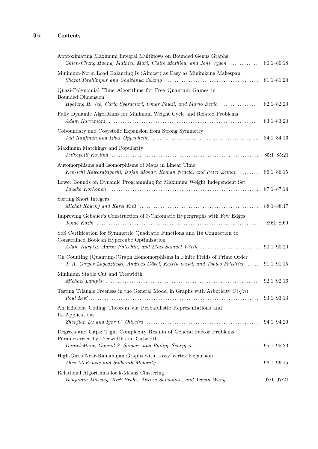| Approximating Maximum Integral Multiflows on Bounded Genus Graphs<br>Chien-Chung Huang, Mathieu Mari, Claire Mathieu, and Jens Vygen                                            | $80:1 - 80:18$ |
|---------------------------------------------------------------------------------------------------------------------------------------------------------------------------------|----------------|
| Minimum-Norm Load Balancing Is (Almost) as Easy as Minimizing Makespan                                                                                                          | $81:1 - 81:20$ |
| Quasi-Polynomial Time Algorithms for Free Quantum Games in<br><b>Bounded Dimension</b><br>Hyejung H. Jee, Carlo Sparaciari, Omar Fawzi, and Mario Berta                         | $82:1 - 82:20$ |
| Fully Dynamic Algorithms for Minimum Weight Cycle and Related Problems                                                                                                          | $83:1 - 83:20$ |
| Coboundary and Cosystolic Expansion from Strong Symmetry                                                                                                                        | $84:1 - 84:16$ |
| Maximum Matchings and Popularity                                                                                                                                                | $85:1 - 85:21$ |
| Automorphisms and Isomorphisms of Maps in Linear Time<br>Ken-ichi Kawarabayashi, Bojan Mohar, Roman Nedela, and Peter Zeman                                                     | $86:1 - 86:15$ |
| Lower Bounds on Dynamic Programming for Maximum Weight Independent Set                                                                                                          | $87:1 - 87:14$ |
| Sorting Short Integers                                                                                                                                                          | $88:1 - 88:17$ |
| Improving Gebauer's Construction of 3-Chromatic Hypergraphs with Few Edges                                                                                                      | $89:1 - 89:9$  |
| SoS Certification for Symmetric Quadratic Functions and Its Connection to<br>Constrained Boolean Hypercube Optimization<br>Adam Kurpisz, Aaron Potechin, and Elias Samuel Wirth | $90:1 - 90:20$ |
| On Counting (Quantum-)Graph Homomorphisms in Finite Fields of Prime Order<br>J. A. Gregor Lagodzinski, Andreas Göbel, Katrin Casel, and Tobias Friedrich                        | $91:1 - 91:15$ |
| Minimum Stable Cut and Treewidth                                                                                                                                                | $92:1 - 92:16$ |
| Testing Triangle Freeness in the General Model in Graphs with Arboricity $O(\sqrt{n})$                                                                                          | $93:1 - 93:13$ |
| An Efficient Coding Theorem via Probabilistic Representations and<br>Its Applications                                                                                           | $94:1 - 94:20$ |
| Degrees and Gaps: Tight Complexity Results of General Factor Problems<br>Parameterized by Treewidth and Cutwidth<br>Dániel Marx, Govind S. Sankar, and Philipp Schepper         | $95:1 - 95:20$ |
| High-Girth Near-Ramanujan Graphs with Lossy Vertex Expansion                                                                                                                    | $96:1 - 96:15$ |
| Relational Algorithms for k-Means Clustering<br>Benjamin Moseley, Kirk Pruhs, Alireza Samadian, and Yuyan Wang                                                                  | $97:1 - 97:21$ |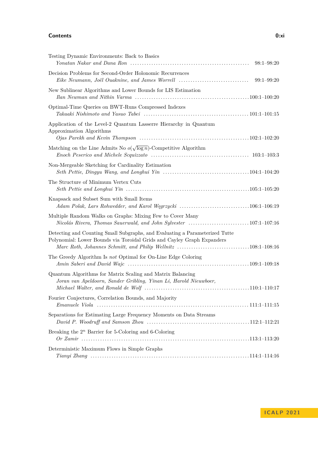### **Contents 0:xi**

| Testing Dynamic Environments: Back to Basics                                                                                                                                                                           | $98:1 - 98:20$ |
|------------------------------------------------------------------------------------------------------------------------------------------------------------------------------------------------------------------------|----------------|
| Decision Problems for Second-Order Holonomic Recurrences<br>Eike Neumann, Joël Ouaknine, and James Worrell                                                                                                             | $99:1 - 99:20$ |
| New Sublinear Algorithms and Lower Bounds for LIS Estimation                                                                                                                                                           |                |
| Optimal-Time Queries on BWT-Runs Compressed Indexes                                                                                                                                                                    |                |
| Application of the Level-2 Quantum Lasserre Hierarchy in Quantum<br>Approximation Algorithms<br>$O$ jas Parekh and Kevin Thompson $\dots\dots\dots\dots\dots\dots\dots\dots\dots\dots\dots\dots\dots\dots102:1-102:20$ |                |
| Matching on the Line Admits No $o(\sqrt{\log n})$ -Competitive Algorithm                                                                                                                                               |                |
| Non-Mergeable Sketching for Cardinality Estimation                                                                                                                                                                     |                |
| The Structure of Minimum Vertex Cuts                                                                                                                                                                                   |                |
| Knapsack and Subset Sum with Small Items<br>Adam Polak, Lars Rohwedder, and Karol Węgrzycki 106:1-106:19                                                                                                               |                |
| Multiple Random Walks on Graphs: Mixing Few to Cover Many                                                                                                                                                              |                |
| Detecting and Counting Small Subgraphs, and Evaluating a Parameterized Tutte<br>Polynomial: Lower Bounds via Toroidal Grids and Cayley Graph Expanders                                                                 |                |
| The Greedy Algorithm Is not Optimal for On-Line Edge Coloring                                                                                                                                                          |                |
| Quantum Algorithms for Matrix Scaling and Matrix Balancing<br>Joran van Apeldoorn, Sander Gribling, Yinan Li, Harold Nieuwboer,                                                                                        |                |
| Fourier Conjectures, Correlation Bounds, and Majority                                                                                                                                                                  |                |
| Separations for Estimating Large Frequency Moments on Data Streams                                                                                                                                                     |                |
| Breaking the $2^n$ Barrier for 5-Coloring and 6-Coloring                                                                                                                                                               |                |
| Deterministic Maximum Flows in Simple Graphs                                                                                                                                                                           |                |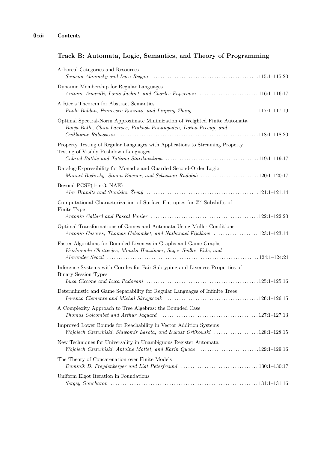# **Track B: Automata, Logic, Semantics, and Theory of Programming**

| Arboreal Categories and Resources<br>$Samson$ Abramsky and Luca Reggio $\ldots \ldots \ldots \ldots \ldots \ldots \ldots \ldots \ldots \ldots \ldots \ldots \ldots 115:1-115:20$              |  |
|-----------------------------------------------------------------------------------------------------------------------------------------------------------------------------------------------|--|
| Dynamic Membership for Regular Languages<br>Antoine Amarilli, Louis Jachiet, and Charles Paperman 116:1-116:17                                                                                |  |
| A Rice's Theorem for Abstract Semantics<br>Paolo Baldan, Francesco Ranzato, and Linpeng Zhang 117:1-117:19                                                                                    |  |
| Optimal Spectral-Norm Approximate Minimization of Weighted Finite Automata<br>Borja Balle, Clara Lacroce, Prakash Panangaden, Doina Precup, and                                               |  |
| Property Testing of Regular Languages with Applications to Streaming Property<br>Testing of Visibly Pushdown Languages                                                                        |  |
| Datalog-Expressibility for Monadic and Guarded Second-Order Logic<br>Manuel Bodirsky, Simon Knäuer, and Sebastian Rudolph 120:1-120:17                                                        |  |
| Beyond PCSP(1-in-3, NAE)                                                                                                                                                                      |  |
| Computational Characterization of Surface Entropies for $\mathbb{Z}^2$ Subshifts of<br>Finite Type                                                                                            |  |
| Optimal Transformations of Games and Automata Using Muller Conditions<br>Antonio Casares, Thomas Colcombet, and Nathanaël Fijalkow 123:1-123:14                                               |  |
| Faster Algorithms for Bounded Liveness in Graphs and Game Graphs<br>Krishnendu Chatterjee, Monika Henzinger, Sagar Sudhir Kale, and                                                           |  |
| Inference Systems with Corules for Fair Subtyping and Liveness Properties of<br><b>Binary Session Types</b>                                                                                   |  |
| Deterministic and Game Separability for Regular Languages of Infinite Trees                                                                                                                   |  |
| A Complexity Approach to Tree Algebras: the Bounded Case<br>$Thomas$ Colcombet and Arthur Jaquard $\ldots \ldots \ldots \ldots \ldots \ldots \ldots \ldots \ldots \ldots \ldots 127:1-127:13$ |  |
| Improved Lower Bounds for Reachability in Vector Addition Systems<br>Wojciech Czerwiński, Sławomir Lasota, and Łukasz Orlikowski 128:1-128:15                                                 |  |
| New Techniques for Universality in Unambiguous Register Automata<br>Wojciech Czerwiński, Antoine Mottet, and Karin Quaas 129:1-129:16                                                         |  |
| The Theory of Concatenation over Finite Models                                                                                                                                                |  |
| Uniform Elgot Iteration in Foundations<br>$Sergey\ Goncharov\ \dots\ \dots\ \dots\ \dots\ \dots\ \dots\ \dots\ \dots\ \dots\ \dots\ \ 131:1-131:16$                                           |  |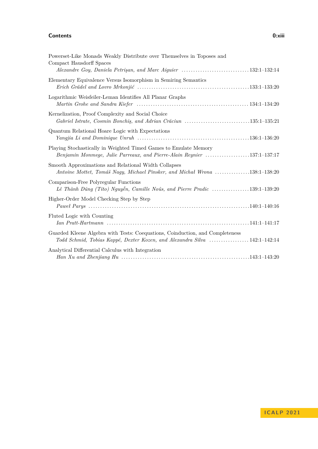## **Contents 0:xiii**

| Powerset-Like Monads Weakly Distribute over Themselves in Toposes and                                                                                      |
|------------------------------------------------------------------------------------------------------------------------------------------------------------|
| Compact Hausdorff Spaces<br>Alexandre Goy, Daniela Petrişan, and Marc Aiguier 132:1-132:14                                                                 |
| Elementary Equivalence Versus Isomorphism in Semiring Semantics                                                                                            |
| Logarithmic Weisfeiler-Leman Identifies All Planar Graphs                                                                                                  |
| Kernelization, Proof Complexity and Social Choice<br>Gabriel Istrate, Cosmin Bonchis, and Adrian Crăciun 135:1-135:21                                      |
| Quantum Relational Hoare Logic with Expectations                                                                                                           |
| Playing Stochastically in Weighted Timed Games to Emulate Memory<br>Benjamin Monmege, Julie Parreaux, and Pierre-Alain Reynier 137:1-137:17                |
| Smooth Approximations and Relational Width Collapses<br>Antoine Mottet, Tomáš Nagy, Michael Pinsker, and Michal Wrona 138:1-138:20                         |
| Comparison-Free Polyregular Functions<br>Lê Thành Dũng (Tito) Nguyễn, Camille Noûs, and Pierre Pradic 139:1-139:20                                         |
| Higher-Order Model Checking Step by Step                                                                                                                   |
| Fluted Logic with Counting                                                                                                                                 |
| Guarded Kleene Algebra with Tests: Coequations, Coinduction, and Completeness<br>Todd Schmid, Tobias Kappé, Dexter Kozen, and Alexandra Silva 142:1-142:14 |
| Analytical Differential Calculus with Integration                                                                                                          |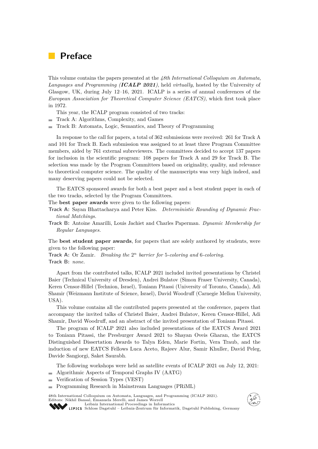# <span id="page-14-0"></span>**Preface**

This volume contains the papers presented at the *48th International Colloquium on Automata, Languages and Programming (ICALP 2021)*, held *virtually*, hosted by the University of Glasgow, UK, during July 12–16, 2021. ICALP is a series of annual conferences of the *European Association for Theoretical Computer Science (EATCS)*, which first took place in 1972.

This year, the ICALP program consisted of two tracks:

- Track A: Algorithms, Complexity, and Games
- Track B: Automata, Logic, Semantics, and Theory of Programming m.

In response to the call for papers, a total of 362 submissions were received: 261 for Track A and 101 for Track B. Each submission was assigned to at least three Program Committee members, aided by 761 external subreviewers. The committees decided to accept 137 papers for inclusion in the scientific program: 108 papers for Track A and 29 for Track B. The selection was made by the Program Committees based on originality, quality, and relevance to theoretical computer science. The quality of the manuscripts was very high indeed, and many deserving papers could not be selected.

The EATCS sponsored awards for both a best paper and a best student paper in each of the two tracks, selected by the Program Committees.

The **best paper awards** were given to the following papers:

- **Track A:** Sayan Bhattacharya and Peter Kiss. *Deterministic Rounding of Dynamic Fractional Matchings.*
- **Track B:** Antoine Amarilli, Louis Jachiet and Charles Paperman. *Dynamic Membership for Regular Languages.*

The **best student paper awards**, for papers that are solely authored by students, were given to the following paper:

**Track A:** Or Zamir. *Breaking the* 2 *<sup>n</sup> barrier for* 5*-coloring and* 6*-coloring.* **Track B:** *none.*

Apart from the contributed talks, ICALP 2021 included invited presentations by Christel Baier (Technical University of Dresden), Andrei Bulatov (Simon Fraser University, Canada), Keren Censor-Hillel (Technion, Israel), Toniann Pitassi (University of Toronto, Canada), Adi Shamir (Weizmann Institute of Science, Israel), David Woodruff (Carnegie Mellon University, USA).

This volume contains all the contributed papers presented at the conference, papers that accompany the invited talks of Christel Baier, Andrei Bulatov, Keren Censor-Hillel, Adi Shamir, David Woodruff, and an abstract of the invited presentation of Toniann Pitassi.

The program of ICALP 2021 also included presentations of the EATCS Award 2021 to Toniann Pitassi, the Presburger Award 2021 to Shayan Oveis Gharan, the EATCS Distinguished Dissertation Awards to Talya Eden, Marie Fortin, Vera Traub, and the induction of new EATCS Fellows Luca Aceto, Rajeev Alur, Samir Khuller, David Peleg, Davide Sangiorgi, Saket Saurabh.

The following workshops were held as satellite events of ICALP 2021 on July 12, 2021: Algorithmic Aspects of Temporal Graphs IV (AATG)

- Verification of Session Types (VEST)
- Programming Research in Mainstream Languages (PRiML)  $\rightarrow$

48th International Colloquium on Automata, Languages, and Programming (ICALP 2021). Editors: Nikhil Bansal, Emanuela Merelli, and James Worrell [Leibniz International Proceedings in Informatics](https://www.dagstuhl.de/lipics/)



[Schloss Dagstuhl – Leibniz-Zentrum für Informatik, Dagstuhl Publishing, Germany](https://www.dagstuhl.de)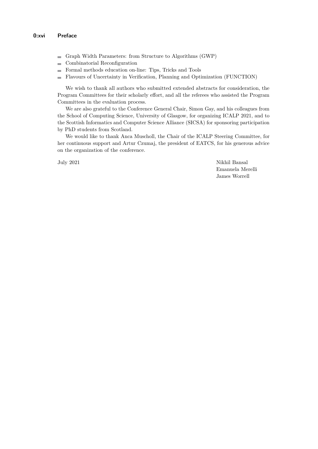- Graph Width Parameters: from Structure to Algorithms (GWP)
- Combinatorial Reconfiguration  $\overline{a}$
- Formal methods education on-line: Tips, Tricks and Tools  $\equiv$
- Flavours of Uncertainty in Verification, Planning and Optimization (FUNCTION)  $\frac{1}{2}$

We wish to thank all authors who submitted extended abstracts for consideration, the Program Committees for their scholarly effort, and all the referees who assisted the Program Committees in the evaluation process.

We are also grateful to the Conference General Chair, Simon Gay, and his colleagues from the School of Computing Science, University of Glasgow, for organizing ICALP 2021, and to the Scottish Informatics and Computer Science Alliance (SICSA) for sponsoring participation by PhD students from Scotland.

We would like to thank Anca Muscholl, the Chair of the ICALP Steering Committee, for her continuous support and Artur Czumaj, the president of EATCS, for his generous advice on the organization of the conference.

July 2021 Nikhil Bansal Emanuela Merelli James Worrell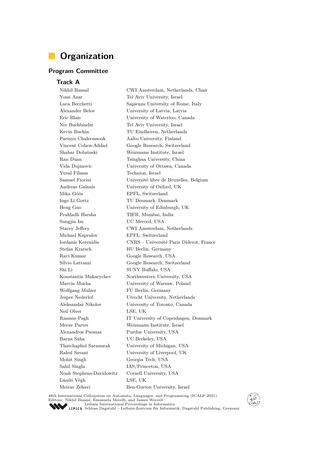# <span id="page-16-0"></span>**Organization**

# **Program Committee**

**Track A**

Nikhil Bansal CWI Amsterdam, Netherlands, Chair Yossi Azar Tel Aviv University, Israel Luca Becchetti Sapienza University of Rome, Italy Alexander Belov University of Latvia, Latvia Eric Blais University of Waterloo, Canada Niv Buchbinder Tel Aviv University, Israel Kevin Buchin TU Eindhoven, Netherlands Parinya Chalermsook Aalto University, Finland Vincent Cohen-Addad Google Research, Switzerland Shahar Dobzinski Weizmann Institute, Israel Ran Duan Tsinghua University, China Vida Dujmovic University of Ottawa, Canada Yuval Filmus Technion, Israel Samuel Fiorini Université libre de Bruxelles, Belgium Andreas Galanis University of Oxford, UK Mika Göös EPFL, Switzerland Inge Li Gørtz TU Denmark, Denmark Heng Guo University of Edinburgh, UK Prahladh Harsha TIFR, Mumbai, India Sungjin Im UC Merced, USA Stacey Jeffery CWI Amsterdam, Netherlands Michael Kapralov EPFL, Switzerland Iordanis Kerenidis CNRS – Université Paris Diderot, France Stefan Kratsch HU Berlin, Germany Ravi Kumar Google Research, USA Silvio Lattanzi Google Research, Switzerland Shi Li SUNY Buffalo, USA Konstantin Makarychev Northwestern University, USA Marcin Mucha University of Warsaw, Poland Wolfgang Mulzer FU Berlin, Germany Jesper Nederlof Utrecht University, Netherlands Aleksandar Nikolov University of Toronto, Canada Neil Olver LSE, UK Rasmus Pagh IT University of Copenhagen, Denmark Merav Parter Weizmann Institute, Israel Alexandros Psomas Purdue University, USA Barna Saha UC Berkeley, USA Thatchaphol Saranurak University of Michigan, USA Rahul Savani University of Liverpool, UK Mohit Singh Georgia Tech, USA Sahil Singla IAS/Princeton, USA Noah Stephens-Davidowitz Cornell University, USA László Végh LSE, UK Meirav Zehavi Ben-Gurion University, Israel

48th International Colloquium on Automata, Languages, and Programming (ICALP 2021). Editors: Nikhil Bansal, Emanuela Merelli, and James Worrell [Leibniz International Proceedings in Informatics](https://www.dagstuhl.de/lipics/)



[Schloss Dagstuhl – Leibniz-Zentrum für Informatik, Dagstuhl Publishing, Germany](https://www.dagstuhl.de)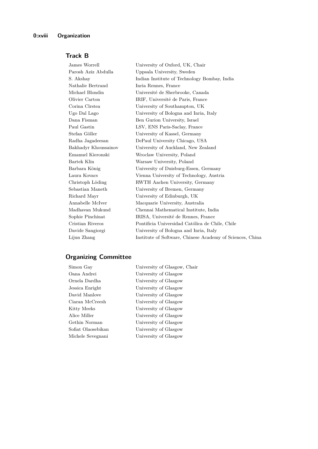# **Track B**

| James Worrell        | University of Oxford, UK, Chair                           |
|----------------------|-----------------------------------------------------------|
| Parosh Aziz Abdulla  | Uppsala University, Sweden                                |
| S. Akshay            | Indian Institute of Technology Bombay, India              |
| Nathalie Bertrand    | Inria Rennes, France                                      |
| Michael Blondin      | Université de Sherbrooke, Canada                          |
| Olivier Carton       | IRIF, Université de Paris, France                         |
| Corina Cîrstea       | University of Southampton, UK                             |
| Ugo Dal Lago         | University of Bologna and Inria, Italy                    |
| Dana Fisman          | Ben Gurion University, Israel                             |
| Paul Gastin          | LSV, ENS Paris-Saclay, France                             |
| Stefan Göller        | University of Kassel, Germany                             |
| Radha Jagadeesan     | DePaul University Chicago, USA                            |
| Bakhadyr Khoussainov | University of Auckland, New Zealand                       |
| Emanuel Kieronski    | Wroclaw University, Poland                                |
| Bartek Klin          | Warsaw University, Poland                                 |
| Barbara König        | University of Duisburg-Essen, Germany                     |
| Laura Kovacs         | Vienna University of Technology, Austria                  |
| Christoph Löding     | RWTH Aachen University, Germany                           |
| Sebastian Maneth     | University of Bremen, Germany                             |
| Richard Mayr         | University of Edinburgh, UK                               |
| Annabelle McIver     | Macquarie University, Australia                           |
| Madhavan Mukund      | Chennai Mathematical Institute, India                     |
| Sophie Pinchinat     | IRISA, Université de Rennes, France                       |
| Cristian Riveros     | Pontificia Universidad Católica de Chile, Chile           |
| Davide Sangiorgi     | University of Bologna and Inria, Italy                    |
| Lijun Zhang          | Institute of Software, Chinese Academy of Sciences, China |

# **Organizing Committee**

| Simon Gay          |
|--------------------|
| Oana Andrei        |
| Ornela Dardha      |
| Jessica Enright    |
| David Manlove      |
| Ciaran McCreesh    |
| Kitty Meeks        |
| Alice Miller       |
| Gethin Norman      |
| Sofiat Olaosebikan |
| Michele Sevegnani  |

Simon Gay University of Glasgow, Chair University of Glasgow University of Glasgow University of Glasgow University of Glasgow University of Glasgow University of Glasgow University of Glasgow University of Glasgow University of Glasgow University of Glasgow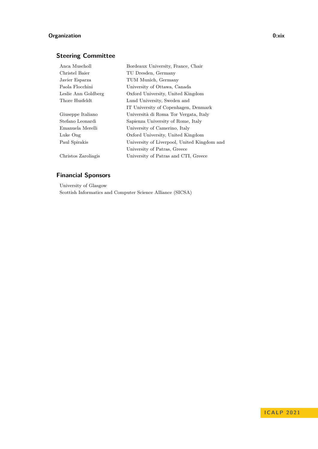# **Organization 0:xix**

# **Steering Committee**

| Anca Muscholl       | Bordeaux University, France, Chair          |
|---------------------|---------------------------------------------|
| Christel Baier      | TU Dresden, Germany                         |
| Javier Esparza      | TUM Munich, Germany                         |
| Paola Flocchini     | University of Ottawa, Canada                |
| Leslie Ann Goldberg | Oxford University, United Kingdom           |
| Thore Husfeldt      | Lund University, Sweden and                 |
|                     | IT University of Copenhagen, Denmark        |
| Giuseppe Italiano   | Università di Roma Tor Vergata, Italy       |
| Stefano Leonardi    | Sapienza University of Rome, Italy          |
| Emanuela Merelli    | University of Camerino, Italy               |
| Luke Ong            | Oxford University, United Kingdom           |
| Paul Spirakis       | University of Liverpool, United Kingdom and |
|                     | University of Patras, Greece                |
| Christos Zaroliagis | University of Patras and CTI, Greece        |

# **Financial Sponsors**

University of Glasgow Scottish Informatics and Computer Science Alliance (SICSA)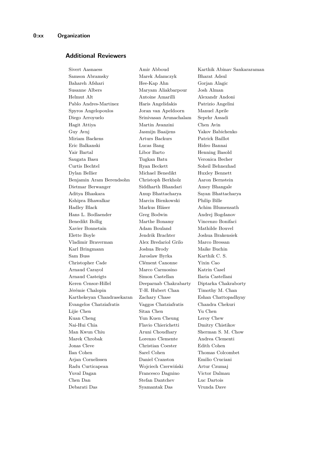# **Additional Reviewers**

Samson Abramsky Marek Adamczyk Bharat Adsul Bahareh Afshari Hee-Kap Ahn Gorjan Alagic Susanne Albers Maryam Aliakbarpour Josh Alman Helmut Alt Antoine Amarilli Alexandr Andoni Pablo Andres-Martinez Haris Angelidakis Patrizio Angelini Spyros Angelopoulos Joran van Apeldoorn Manuel Aprile Diego Arroyuelo Srinivasan Arunachalam Sepehr Assadi Hagit Attiya Martin Avanzini Chen Avin Guy Avnj Jasmijn Baaijens Yakov Babichenko Miriam Backens Arturs Backurs Patrick Baillot Eric Balkanski Lucas Bang Hideo Bannai Yair Bartal Libor Barto Henning Basold Saugata Basu Tugkan Batu Veronica Becher Curtis Bechtel Ryan Beckett Soheil Behnezhad Dylan Bellier Michael Benedikt Huxley Bennett Benjamin Aram Berendsohn Christoph Berkholz Aaron Bernstein Dietmar Berwanger Siddharth Bhandari Amey Bhangale Aditya Bhaskara Anup Bhattacharya Sayan Bhattacharya Kshipra Bhawalkar Marcin Bienkowski Philip Bille Hadley Black Markus Bläser Achim Blumensath Hans L. Bodlaender Greg Bodwin Andrej Bogdanov Benedikt Bollig Marthe Bonamy Vincenzo Bonifaci Xavier Bonnetain Adam Bouland Mathilde Bouvel Elette Boyle Jendrik Brachter Joshua Brakensiek Vladimir Braverman Alex Bredariol Grilo Marco Bressan Karl Bringmann Joshua Brody Maike Buchin Sam Buss Jaroslaw Byrka Karthik C. S. Christopher Cade Clément Canonne Yixin Cao Arnaud Carayol Marco Carmosino Katrin Casel Arnaud Casteigts Simon Castellan Ilaria Castellani Keren Censor-Hillel Deeparnab Chakrabarty Diptarka Chakraborty Jérémie Chalopin T-H. Hubert Chan Timothy M. Chan Karthekeyan Chandrasekaran Zachary Chase Eshan Chattopadhyay Evangelos Chatziafratis Vaggos Chatziafratis Chandra Chekuri Lijie Chen Sitan Chen Yu Chen Kuan Cheng Yun Kuen Cheung Leroy Chew Nai-Hui Chia Flavio Chierichetti Dmitry Chistikov Man Kwun Chiu Aruni Choudhary Sherman S. M. Chow Marek Chrobak Lorenzo Clemente Andrea Clementi Jonas Cleve Christian Coester Edith Cohen Ilan Cohen Sarel Cohen Thomas Colcombet Arjan Cornelissen Daniel Cranston Emilio Cruciani Radu Curticapean Wojciech Czerwiński Artur Czumaj Yuval Dagan Francesco Dagnino Victor Dalmau Chen Dan Stefan Dantchev Luc Dartois Debarati Das Syamantak Das Vrunda Dave

Sivert Aasnaess Amir Abboud Karthik Abinav Sankararaman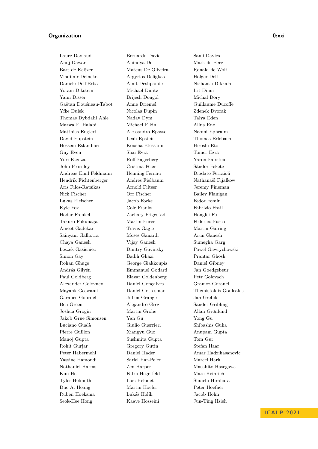## **Organization 0:xxi**

Laure Daviaud Bernardo David Sami Davies Anuj Dawar Anindya De Mark de Berg Bart de Keijzer Mateus De Oliveira Ronald de Wolf Vladimir Deineko Argyrios Deligkas Holger Dell Daniele Dell'Erba Amit Deshpande Nishanth Dikkala Yotam Dikstein Michael Dinitz Irit Dinur Yann Disser Brijesh Dongol Michal Dory Gaëtan Douéneau-Tabot Anne Driemel Guillaume Ducoffe Yfke Dulek Nicolas Dupin Zdenek Dvorak Thomas Dybdahl Ahle Nadav Dym Talya Eden Marwa El Halabi Michael Elkin Alina Ene Matthias Englert Alessandro Epasto Naomi Ephraim David Eppstein Leah Epstein Thomas Erlebach Hossein Esfandiari Kousha Etessami Hiroshi Eto Guy Even Shai Evra Tomer Ezra Yuri Faenza Rolf Fagerberg Yaron Fairstein John Fearnley Cristina Feier Sándor Fekete Andreas Emil Feldmann Henning Fernau Diodato Ferraioli Hendrik Fichtenberger Andrés Fielbaum Nathanaël Fijalkow Aris Filos-Ratsikas Arnold Filtser Jeremy Fineman Nick Fischer Orr Fischer Bailey Flanigan Lukas Fleischer Jacob Focke Fedor Fomin Kyle Fox Cole Franks Fabrizio Frati Hadar Frenkel Zachary Friggstad Hongfei Fu Takuro Fukunaga Martin Fürer Federico Fusco Ameet Gadekar Travis Gagie Martin Gairing Sainyam Galhotra Moses Ganardi Arun Ganesh Chaya Ganesh Vijay Ganesh Sumegha Garg Leszek Gasieniec Dmitry Gavinsky Pawel Gawrychowski Simon Gay Badih Ghazi Prantar Ghosh Rohan Ghuge George Giakkoupis Daniel Gibney András Gilyén Emmanuel Godard Jan Goedgebeur Paul Goldberg Elazar Goldenberg Petr Golovach Alexander Golovnev Daniel Gonçalves Gramoz Goranci Mayank Goswami Daniel Gottesman Themistoklis Gouleakis Garance Gourdel Julien Grange Jan Grebik Ben Green Alejandro Grez Sander Gribling Joshua Grogin Martin Grohe Allan Grønlund Jakob Grue Simonsen Yan Gu Yong Gu Luciano Gualà Giulio Guerrieri Shibashis Guha Pierre Guillon Xiangyu Guo Anupam Gupta Manoj Gupta Sushmita Gupta Tom Gur Rohit Gurjar Gregory Gutin Stefan Haar Peter Habermehl Daniel Hader Amar Hadzihasanovic Yassine Hamoudi Sariel Har-Peled Marcel Hark Nathaniel Harms Zen Harper Masahito Hasegawa Kun He Falko Hegerfeld Marc Heinrich Tyler Helmuth Loic Helouet Shuichi Hirahara Duc A. Hoang Martin Hoefer Peter Hoefner Ruben Hoeksma Lukáš Holík Jacob Holm Seok-Hee Hong Kaave Hosseini Jun-Ting Hsieh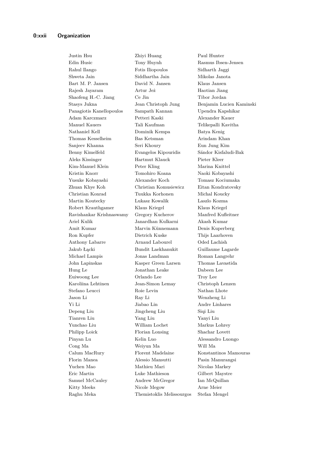Edin Husic Tony Huynh Rasmus Ibsen-Jensen Rahul Ilango Fotis Iliopoulos Sidharth Jaggi Shweta Jain Siddhartha Jain Mikolas Janota Bart M. P. Jansen David N. Jansen Klaus Jansen Rajesh Jayaram Artur Jeż Haotian Jiang Shaofeng H.-C. Jiang Ce Jin Tibor Jordan Panagiotis Kanellopoulos Sampath Kannan Upendra Kapshikar Adam Karczmarz Petteri Kaski Alexander Kauer Manuel Kauers Tali Kaufman Telikepalli Kavitha Nathaniel Kell Dominik Kempa Batya Kenig Thomas Kesselheim Bas Ketsman Arindam Khan Sanjeev Khanna Seri Khoury Eun Jung Kim Benny Kimelfeld Evangelos Kipouridis Sándor Kisfaludi-Bak Aleks Kissinger Hartmut Klauck Pieter Kleer Kim-Manuel Klein Peter Kling Marina Knittel Kristin Knorr Tomohiro Koana Naoki Kobayashi Yusuke Kobayashi Alexander Koch Tomasz Kociumaka Zhuan Khye Koh Christian Komusiewicz Eitan Kondratovsky Christian Konrad Tuukka Korhonen Michal Koucky Martin Koutecky Lukasz Kowalik Laszlo Kozma Robert Krauthgamer Klaus Kriegel Klaus Kriegel Ravishankar Krishnaswamy Gregory Kucherov Manfred Kufleitner Ariel Kulik Janardhan Kulkarni Akash Kumar Amit Kumar Marvin Künnemann Denis Kuperberg Ron Kupfer Dietrich Kuske Thijs Laarhoven Anthony Labarre Arnaud Labourel Oded Lachish Jakub Łącki Bundit Laekhanukit Guillaume Lagarde Michael Lampis Jonas Landman Roman Langrehr John Lapinskas Kasper Green Larsen Thomas Lavastida Hung Le Jonathan Leake Dabeen Lee Euiwoong Lee Orlando Lee Troy Lee Karoliina Lehtinen Jean-Simon Lemay Christoph Lenzen Stefano Leucci Roie Levin Nathan Lhote Jason Li Ray Li Wenzheng Li Yi Li Jiabao Lin Andre Linhares Depeng Liu Jingcheng Liu Siqi Liu Tianren Liu Yang Liu Yanyi Liu Yunchao Liu William Lochet Markus Lohrey Philipp Loick Florian Lonsing Shachar Lovett Pinyan Lu Kelin Luo Alessandro Luongo Cong Ma Weiyun Ma Will Ma Calum MacRury Florent Madelaine Konstantinos Mamouras Florin Manea Alessio Mansutti Pasin Manurangsi Yuchen Mao Mathieu Mari Nicolas Markey Eric Martin Luke Mathieson Gilbert Maystre Samuel McCauley Andrew McGregor Ian McQuillan Kitty Meeks Nicole Megow Arne Meier Raghu Meka Themistoklis Melissourgos Stefan Mengel

Justin Hsu Zhiyi Huang Paul Hunter

Stasys Jukna Jean Christoph Jung Benjamin Lucien Kaminski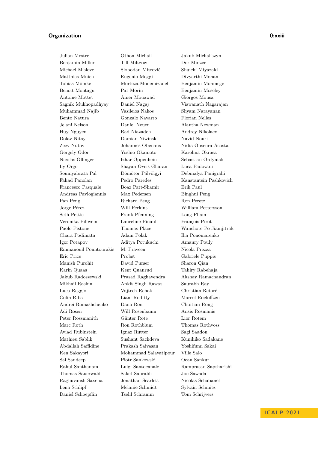## **Organization 0:xxiii**

Julian Mestre Othon Michail Jakub Michaliszyn Benjamin Miller Till Miltzow Dor Minzer Michael Mislove Slobodan Mitrović Shuichi Miyazaki Matthias Mnich Eugenio Moggi Divyarthi Mohan Tobias Mömke Morteza Monemizadeh Benjamin Monmege Benoit Montagu Pat Morin Benjamin Moseley Antoine Mottet Amer Mouawad Giorgos Mousa Sagnik Mukhopadhyay Daniel Nagaj Viswanath Nagarajan Muhammad Najib Vasileios Nakos Shyam Narayanan Bento Natura Gonzalo Navarro Florian Nelles Jelani Nelson Daniel Neuen Alantha Newman Huy Nguyen Rad Niazadeh Andrey Nikolaev Dolav Nitay Damian Niwinski Navid Nouri Zeev Nutov Johannes Obenaus Nidia Obscura Acosta Gergely Odor Yoshio Okamoto Karolina Okrasa Nicolas Ollinger Izhar Oppenhein Sebastian Ordyniak Ly Orgo Shayan Oveis Gharan Luca Padovani Soumyabrata Pal Dömötör Pálvölgyi Debmalya Panigrahi Fahad Panolan Pedro Paredes Kanstantsin Pashkovich Francesco Pasquale Boaz Patt-Shamir Erik Paul Andreas Pavlogiannis Max Pedersen Binghui Peng Pan Peng Richard Peng Ron Peretz Jorge Pérez Will Perkins William Pettersson Seth Pettie Frank Pfenning Long Pham Veronika Pillwein Laureline Pinault François Pirot Paolo Pistone Thomas Place Wanchote Po Jiamjitrak Chara Podimata Adam Polak Ilia Ponomarenko Igor Potapov Aditya Potukuchi Amaury Pouly Emmanouil Pountourakis M. Praveen Nicola Prezza Eric Price Probst Gabriele Puppis Manish Purohit David Purser Sharon Qian Karin Quaas Kent Quanrud Tahiry Rabehaja Jakub Radoszewski Prasad Raghavendra Akshay Ramachandran Mikhail Raskin Ankit Singh Rawat Saurabh Ray Luca Reggio Vojtech Rehak Christian Retoré Colin Riba Liam Roditty Marcel Roeloffzen Andrei Romashchenko Dana Ron Chuitian Rong Adi Rosen Will Rosenbaum Ansis Rosmanis Peter Rossmanith Günter Rote Lior Rotem Marc Roth Ron Rothblum Thomas Rothvoss Aviad Rubinstein Ignaz Rutter Sagi Saadon Mathieu Sablik Sushant Sachdeva Kunihiko Sadakane Abdallah Saffidine Prakash Saivasan Yoshifumi Sakai Ken Sakayori Mohammad Salavatipour Ville Salo Sai Sandeep Piotr Sankowski Ocan Sankur Rahul Santhanam Luigi Santocanale Ramprasad Saptharishi Thomas Sauerwald Saket Saurabh Joe Sawada Raghuvansh Saxena Jonathan Scarlett Nicolas Schabanel Lena Schlipf Melanie Schmidt Sylvain Schmitz Daniel Schoepflin Tselil Schramm Tom Schrijvers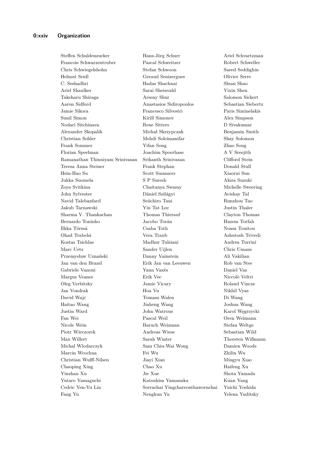Steffen Schuldenzucker Hans-Jörg Schurr Ariel Schvartzman Francois Schwarzentruber Pascal Schweitzer Robert Schweller Chris Schwiegelshohn Stefan Schwoon Saeed Seddighin Helmut Seidl Geraud Senizergues Olivier Serre C. Seshadhri Hadas Shachnai Shuai Shao Ariel Shaulker Sarai Sheinvald Yixin Shen Takeharu Shiraga Arseny Shur Salomon Sickert Aaron Sidford Anastasios Sidiropoulos Sebastian Siebertz Jamie Sikora Francesco Silvestri Paris Siminelakis Sunil Simon Kirill Simonov Alex Simpson Nodari Sitchinava Rene Sitters D Sivakumar Alexander Skopalik Michał Skrzypczak Benjamin Smith Christian Sohler Mehdi Soleimanifar Shay Solomon Frank Sommer Yifan Song Zhao Song Florian Speelman Joachim Spoerhase A V Sreejith Ramanathan Thinniyam Srinivasan Srikanth Srinivasan Clifford Stein Teresa Anna Steiner Frank Stephan Donald Stull Hsin-Hao Su Scott Summers Xiaorui Sun Jukka Suomela S P Suresh Akira Suzuki Zoya Svitkina Chaitanya Swamy Michelle Sweering John Sylvester Dániel Szilágyi Avishay Tal Navid Talebanfard Seiichiro Tani Runzhou Tao Jakub Tarnawski Yin Tat Lee Justin Thaler Sharma V. Thankachan Thomas Thierauf Clayton Thomas Bernardo Toninho Jacobo Torán Hazem Torfah Ilkka Törmä Csaba Toth Noam Touitou Ohad Trabelsi Vera Traub Ashutosh Trivedi Kostas Tsichlas Madhur Tulsiani Andrea Turrini Marc Uetz Sander Uijlen Chris Umans Przemysław Uznański Danny Vainstein Ali Vakilian Jan van den Brand Erik Jan van Leeuwen Rob van Stee Gabriele Vanoni Yann Vaxès Daniel Vaz Margus Veanes Erik Vee Niccolò Veltri Oleg Verbitsky Jamie Vicary Roland Vincze Jan Vondrak Hoa Vu Nikhil Vyas David Wajc Tomasz Walen Di Wang Haitao Wang Jiaheng Wang Joshua Wang Justin Ward John Watrous Karol Węgrzycki Fan Wei Pascal Weil Oren Weimann Nicole Wein Baruch Weizman Stefan Weltge Piotr Wieczorek Andreas Wiese Sebastian Wild Max Willert Sarah Winter Thorsten Wißmann Michal Wlodarczyk Sam Chiu-Wai Wong Damien Woods Marcin Wrochna Fei Wu Zhilin Wu Christian Wulff-Nilsen Jiayi Xian Mingyu Xiao Chaoping Xing Chao Xu Haifeng Xu Yinzhan Xu Jie Xue Shota Yamada Yutaro Yamaguchi Katsuhisa Yamanaka Kuan Yang Cedric Yen-Yu Lin Sorrachai Yingchareonthawornchai Yuichi Yoshida

Fang Yu Nengkun Yu Yelena Yuditsky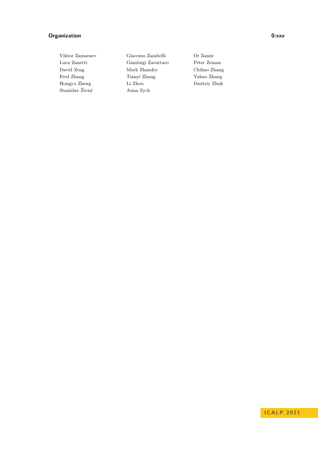# **Organization 0:xxv**

Stanislav Živný Anna Zych

Viktor Zamaraev Giacomo Zambelli Or Zamir Luca Zanetti Gianluigi Zavattaro Peter Zeman David Zeng Mark Zhandry Chihao Zhang Fred Zhang Tianyi Zhang Yuhao Zhang Hongyu Zheng Li Zhou Dmitriy Zhuk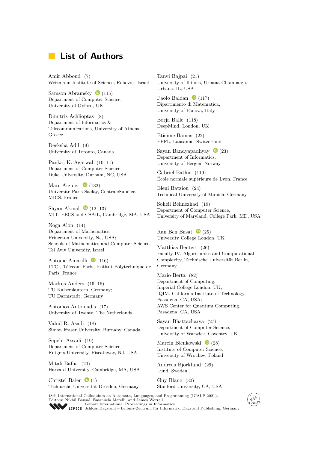# **List of Authors**

Amir Abboud [\(7\)](https://doi.org/10.4230/LIPIcs.ICALP.2021.7) Weizmann Institute of Science, Rehovot, Israel

Samson Abramsky  $\bullet$  [\(115\)](https://doi.org/10.4230/LIPIcs.ICALP.2021.115) Department of Computer Science, University of Oxford, UK

Dimitris Achlioptas [\(8\)](https://doi.org/10.4230/LIPIcs.ICALP.2021.8) Department of Informatics & Telecommunications, University of Athens, Greece

Deeksha Adil [\(9\)](https://doi.org/10.4230/LIPIcs.ICALP.2021.9) University of Toronto, Canada

Pankaj K. Agarwal [\(10,](https://doi.org/10.4230/LIPIcs.ICALP.2021.10) [11\)](https://doi.org/10.4230/LIPIcs.ICALP.2021.11) Department of Computer Science, Duke University, Durham, NC, USA

Marc Aiguier  $\bullet$  [\(132\)](https://doi.org/10.4230/LIPIcs.ICALP.2021.132) Université Paris-Saclay, CentraleSupélec, MICS, France

Shyan Akmal  $\bullet$  [\(12,](https://doi.org/10.4230/LIPIcs.ICALP.2021.12) [13\)](https://doi.org/10.4230/LIPIcs.ICALP.2021.13) MIT, EECS and CSAIL, Cambridge, MA, USA

Noga Alon [\(14\)](https://doi.org/10.4230/LIPIcs.ICALP.2021.14) Department of Mathematics, Princeton University, NJ, USA; Schools of Mathematics and Computer Science, Tel Aviv University, Israel

Antoine Amarilli  $\bullet$  [\(116\)](https://doi.org/10.4230/LIPIcs.ICALP.2021.116) LTCI, Télécom Paris, Institut Polytechnique de Paris, France

Markus Anders [\(15,](https://doi.org/10.4230/LIPIcs.ICALP.2021.15) [16\)](https://doi.org/10.4230/LIPIcs.ICALP.2021.16) TU Kaiserslautern, Germany; TU Darmstadt, Germany

Antonios Antoniadis [\(17\)](https://doi.org/10.4230/LIPIcs.ICALP.2021.17) University of Twente, The Netherlands

Vahid R. Asadi [\(18\)](https://doi.org/10.4230/LIPIcs.ICALP.2021.18) Simon Fraser University, Burnaby, Canada

Sepehr Assadi [\(19\)](https://doi.org/10.4230/LIPIcs.ICALP.2021.19) Department of Computer Science, Rutgers University, Piscataway, NJ, USA

Mitali Bafna [\(20\)](https://doi.org/10.4230/LIPIcs.ICALP.2021.20) Harvard University, Cambridge, MA, USA

Christel Baier  $\bullet$  [\(1\)](https://doi.org/10.4230/LIPIcs.ICALP.2021.1) Technische Universität Dresden, Germany Tanvi Bajpai [\(21\)](https://doi.org/10.4230/LIPIcs.ICALP.2021.21) University of Illinois, Urbana-Champaign, Urbana, IL, USA

Paolo Baldan  $\bullet$  [\(117\)](https://doi.org/10.4230/LIPIcs.ICALP.2021.117) Dipartimento di Matematica, University of Padova, Italy

Borja Balle [\(118\)](https://doi.org/10.4230/LIPIcs.ICALP.2021.118) DeepMind, London, UK

Etienne Bamas [\(22\)](https://doi.org/10.4230/LIPIcs.ICALP.2021.22) EPFL, Lausanne, Switzerland

Sayan Bandyapadhyay  $\bullet$  [\(23\)](https://doi.org/10.4230/LIPIcs.ICALP.2021.23) Department of Informatics, University of Bergen, Norway

Gabriel Bathie [\(119\)](https://doi.org/10.4230/LIPIcs.ICALP.2021.119) École normale supérieure de Lyon, France

Eleni Batziou [\(24\)](https://doi.org/10.4230/LIPIcs.ICALP.2021.24) Technical University of Munich, Germany

Soheil Behnezhad [\(19\)](https://doi.org/10.4230/LIPIcs.ICALP.2021.19) Department of Computer Science, University of Maryland, College Park, MD, USA

Ran Ben Basat  $\bullet$  [\(25\)](https://doi.org/10.4230/LIPIcs.ICALP.2021.25) University College London, UK

Matthias Bentert [\(26\)](https://doi.org/10.4230/LIPIcs.ICALP.2021.26) Faculty IV, Algorithmics and Computational Complexity, Technische Universität Berlin, Germany

Mario Berta [\(82\)](https://doi.org/10.4230/LIPIcs.ICALP.2021.82) Department of Computing, Imperial College London, UK; IQIM, California Institute of Technology, Pasadena, CA, USA; AWS Center for Quantum Computing, Pasadena, CA, USA

Sayan Bhattacharya [\(27\)](https://doi.org/10.4230/LIPIcs.ICALP.2021.27) Department of Computer Science, University of Warwick, Coventry, UK

Marcin Bienkowski  $\bullet$  [\(28\)](https://doi.org/10.4230/LIPIcs.ICALP.2021.28) Institute of Computer Science, University of Wrocław, Poland

Andreas Björklund [\(29\)](https://doi.org/10.4230/LIPIcs.ICALP.2021.29) Lund, Sweden

Guy Blanc [\(30\)](https://doi.org/10.4230/LIPIcs.ICALP.2021.30) Stanford University, CA, USA

48th International Colloquium on Automata, Languages, and Programming (ICALP 2021). Editors: Nikhil Bansal, Emanuela Merelli, and James Worrell [Leibniz International Proceedings in Informatics](https://www.dagstuhl.de/lipics/)



[Schloss Dagstuhl – Leibniz-Zentrum für Informatik, Dagstuhl Publishing, Germany](https://www.dagstuhl.de)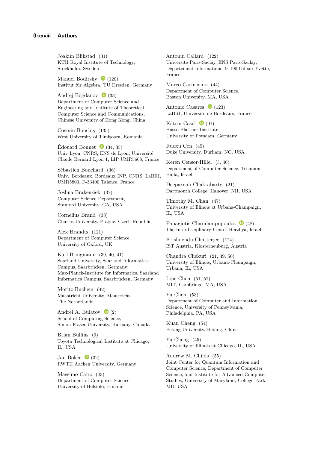Joakim Blikstad [\(31\)](https://doi.org/10.4230/LIPIcs.ICALP.2021.31) KTH Royal Institute of Technology, Stockholm, Sweden

Manuel Bodirsky  $\bullet$  [\(120\)](https://doi.org/10.4230/LIPIcs.ICALP.2021.120) Institut für Algebra, TU Dresden, Germany

Andrej Bogdanov  $\bullet$  [\(33\)](https://doi.org/10.4230/LIPIcs.ICALP.2021.33) Department of Computer Science and Engineering and Institute of Theoretical Computer Science and Communications, Chinese University of Hong Kong, China

Cosmin Bonchiş [\(135\)](https://doi.org/10.4230/LIPIcs.ICALP.2021.135) West University of Timişoara, Romania

Édouard Bonnet  $\bullet$  [\(34,](https://doi.org/10.4230/LIPIcs.ICALP.2021.34) [35\)](https://doi.org/10.4230/LIPIcs.ICALP.2021.35) Univ Lyon, CNRS, ENS de Lyon, Université Claude Bernard Lyon 1, LIP UMR5668, France

Sébastien Bouchard [\(36\)](https://doi.org/10.4230/LIPIcs.ICALP.2021.36) Univ. Bordeaux, Bordeaux INP, CNRS, LaBRI, UMR5800, F-33400 Talence, France

Joshua Brakensiek [\(37\)](https://doi.org/10.4230/LIPIcs.ICALP.2021.37) Computer Science Department, Stanford University, CA, USA

Cornelius Brand [\(38\)](https://doi.org/10.4230/LIPIcs.ICALP.2021.38) Charles University, Prague, Czech Republic

Alex Brandts [\(121\)](https://doi.org/10.4230/LIPIcs.ICALP.2021.121) Department of Computer Science, University of Oxford, UK

Karl Bringmann [\(39,](https://doi.org/10.4230/LIPIcs.ICALP.2021.39) [40,](https://doi.org/10.4230/LIPIcs.ICALP.2021.40) [41\)](https://doi.org/10.4230/LIPIcs.ICALP.2021.41) Saarland University, Saarland Informatics Campus, Saarbrücken, Germany; Max-Planck-Institute for Informatics, Saarland Informatics Campus, Saarbrücken, Germany

Moritz Buchem [\(42\)](https://doi.org/10.4230/LIPIcs.ICALP.2021.42) Maastricht University, Maastricht, The Netherlands

Andrei A. Bulatov  $\bullet$  [\(2\)](https://doi.org/10.4230/LIPIcs.ICALP.2021.2) School of Computing Science, Simon Fraser University, Burnaby, Canada

Brian Bullins [\(9\)](https://doi.org/10.4230/LIPIcs.ICALP.2021.9) Toyota Technological Institute at Chicago, IL, USA

Jan Böker  $\bullet$  [\(32\)](https://doi.org/10.4230/LIPIcs.ICALP.2021.32) RWTH Aachen University, Germany

Massimo Cairo [\(43\)](https://doi.org/10.4230/LIPIcs.ICALP.2021.43) Department of Computer Science, University of Helsinki, Finland

Antonin Callard [\(122\)](https://doi.org/10.4230/LIPIcs.ICALP.2021.122) Université Paris-Saclay, ENS Paris-Saclay, Département Informatique, 91190 Gif-sur-Yvette, France

Marco Carmosino [\(44\)](https://doi.org/10.4230/LIPIcs.ICALP.2021.44) Department of Computer Science, Boston University, MA, USA

Antonio Casares  $\bullet$  [\(123\)](https://doi.org/10.4230/LIPIcs.ICALP.2021.123) LaBRI, Université de Bordeaux, France

Katrin Casel  $\bullet$  [\(91\)](https://doi.org/10.4230/LIPIcs.ICALP.2021.91) Hasso Plattner Institute, University of Potsdam, Germany

Ruoxu Cen [\(45\)](https://doi.org/10.4230/LIPIcs.ICALP.2021.45) Duke University, Durham, NC, USA

Keren Censor-Hillel [\(3,](https://doi.org/10.4230/LIPIcs.ICALP.2021.3) [46\)](https://doi.org/10.4230/LIPIcs.ICALP.2021.46) Department of Computer Science, Technion, Haifa, Israel

Deeparnab Chakrabarty [\(21\)](https://doi.org/10.4230/LIPIcs.ICALP.2021.21) Dartmouth College, Hanover, NH, USA

Timothy M. Chan [\(47\)](https://doi.org/10.4230/LIPIcs.ICALP.2021.47) University of Illinois at Urbana-Champaign, IL, USA

Panagiotis Charalampopoulos  $\bullet$  [\(48\)](https://doi.org/10.4230/LIPIcs.ICALP.2021.48) The Interdisciplinary Center Herzliya, Israel

Krishnendu Chatterjee [\(124\)](https://doi.org/10.4230/LIPIcs.ICALP.2021.124) IST Austria, Klosterneuburg, Austria

Chandra Chekuri [\(21,](https://doi.org/10.4230/LIPIcs.ICALP.2021.21) [49,](https://doi.org/10.4230/LIPIcs.ICALP.2021.49) [50\)](https://doi.org/10.4230/LIPIcs.ICALP.2021.50) University of Illinois, Urbana-Champaign, Urbana, IL, USA

Lijie Chen [\(51,](https://doi.org/10.4230/LIPIcs.ICALP.2021.51) [52\)](https://doi.org/10.4230/LIPIcs.ICALP.2021.52) MIT, Cambridge, MA, USA

Yu Chen [\(53\)](https://doi.org/10.4230/LIPIcs.ICALP.2021.53) Department of Computer and Information Science, University of Pennsylvania, Philadelphia, PA, USA

Kuan Cheng [\(54\)](https://doi.org/10.4230/LIPIcs.ICALP.2021.54) Peking University, Beijing, China

Yu Cheng [\(45\)](https://doi.org/10.4230/LIPIcs.ICALP.2021.45) University of Illinois at Chicago, IL, USA

Andrew M. Childs [\(55\)](https://doi.org/10.4230/LIPIcs.ICALP.2021.55) Joint Center for Quantum Information and Computer Science, Department of Computer Science, and Institute for Advanced Computer Studies, University of Maryland, College Park, MD, USA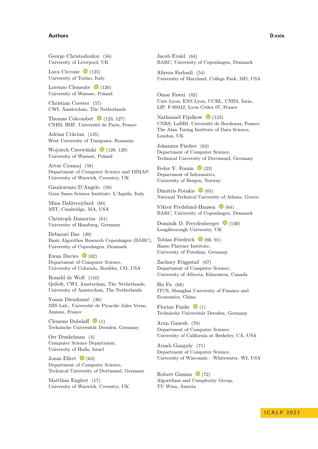#### **Authors 0:xxix**

George Christodoulou [\(56\)](https://doi.org/10.4230/LIPIcs.ICALP.2021.56) University of Liverpool, UK

Luca Ciccone  $\bullet$  [\(125\)](https://doi.org/10.4230/LIPIcs.ICALP.2021.125) University of Torino, Italy

Lorenzo Clemente  $\bullet$  [\(126\)](https://doi.org/10.4230/LIPIcs.ICALP.2021.126) University of Warsaw, Poland

Christian Coester [\(57\)](https://doi.org/10.4230/LIPIcs.ICALP.2021.57) CWI, Amsterdam, The Netherlands

Thomas Colcombet  $\bullet$  [\(123,](https://doi.org/10.4230/LIPIcs.ICALP.2021.123) [127\)](https://doi.org/10.4230/LIPIcs.ICALP.2021.127) CNRS, IRIF, Université de Paris, France

Adrian Crăciun [\(135\)](https://doi.org/10.4230/LIPIcs.ICALP.2021.135) West University of Timişoara, Romania

Wojciech Czerwiński  $\bullet$  [\(128,](https://doi.org/10.4230/LIPIcs.ICALP.2021.128) [129\)](https://doi.org/10.4230/LIPIcs.ICALP.2021.129) University of Warsaw, Poland

Artur Czumaj [\(58\)](https://doi.org/10.4230/LIPIcs.ICALP.2021.58) Department of Computer Science and DIMAP, University of Warwick, Coventry, UK

Gianlorenzo D'Angelo [\(59\)](https://doi.org/10.4230/LIPIcs.ICALP.2021.59) Gran Sasso Science Institute, L'Aquila, Italy

Mina Dalirrooyfard [\(60\)](https://doi.org/10.4230/LIPIcs.ICALP.2021.60) MIT, Cambridge, MA, USA

Christoph Damerius [\(61\)](https://doi.org/10.4230/LIPIcs.ICALP.2021.61) University of Hamburg, Germany

Debarati Das [\(39\)](https://doi.org/10.4230/LIPIcs.ICALP.2021.39) Basic Algorithm Research Copenhagen (BARC), University of Copenhagen, Denmark

Ewan Davies  $\bullet$  [\(62\)](https://doi.org/10.4230/LIPIcs.ICALP.2021.62) Department of Computer Science, University of Colorado, Boulder, CO, USA

Ronald de Wolf [\(110\)](https://doi.org/10.4230/LIPIcs.ICALP.2021.110) QuSoft, CWI, Amsterdam, The Netherlands; University of Amsterdam, The Netherlands

Yoann Dieudonné [\(36\)](https://doi.org/10.4230/LIPIcs.ICALP.2021.36) MIS Lab., Université de Picardie Jules Verne, Amiens, France

Clemens Dubslaff  $\bullet$  [\(1\)](https://doi.org/10.4230/LIPIcs.ICALP.2021.1) Technische Universität Dresden, Germany

Orr Dunkelman [\(4\)](https://doi.org/10.4230/LIPIcs.ICALP.2021.4) Computer Science Department, University of Haifa, Israel

Jonas Ellert  $\bullet$  [\(63\)](https://doi.org/10.4230/LIPIcs.ICALP.2021.63) Department of Computer Science, Technical University of Dortmund, Germany

Matthias Englert [\(17\)](https://doi.org/10.4230/LIPIcs.ICALP.2021.17) University of Warwick, Coventry, UK Jacob Evald [\(64\)](https://doi.org/10.4230/LIPIcs.ICALP.2021.64) BARC, University of Copenhagen, Denmark

Alireza Farhadi [\(54\)](https://doi.org/10.4230/LIPIcs.ICALP.2021.54) University of Maryland, College Park, MD, USA

Omar Fawzi [\(82\)](https://doi.org/10.4230/LIPIcs.ICALP.2021.82) Univ Lyon, ENS Lyon, UCBL, CNRS, Inria, LIP, F-69342, Lyon Cedex 07, France

Nathanaël Fijalkow  $\bullet$  [\(123\)](https://doi.org/10.4230/LIPIcs.ICALP.2021.123) CNRS, LaBRI, Université de Bordeaux, France; The Alan Turing Institute of Data Science, London, UK

Johannes Fischer [\(63\)](https://doi.org/10.4230/LIPIcs.ICALP.2021.63) Department of Computer Science, Technical University of Dortmund, Germany

Fedor V. Fomin  $\bullet$  [\(23\)](https://doi.org/10.4230/LIPIcs.ICALP.2021.23) Department of Informatics, University of Bergen, Norway

Dimitris Fotakis  $\bullet$  [\(65\)](https://doi.org/10.4230/LIPIcs.ICALP.2021.65) National Technical University of Athens, Greece

Viktor Fredslund-Hansen  $\bullet$  [\(64\)](https://doi.org/10.4230/LIPIcs.ICALP.2021.64) BARC, University of Copenhagen, Denmark

Dominik D. Freydenberger  $\bullet$  [\(130\)](https://doi.org/10.4230/LIPIcs.ICALP.2021.130) Loughborough University, UK

Tobias Friedrich  $\bullet$  [\(66,](https://doi.org/10.4230/LIPIcs.ICALP.2021.66) [91\)](https://doi.org/10.4230/LIPIcs.ICALP.2021.91) Hasso Plattner Institute, University of Potsdam, Germany

Zachary Friggstad [\(67\)](https://doi.org/10.4230/LIPIcs.ICALP.2021.67) Department of Computer Science, University of Alberta, Edmonton, Canada

Hu Fu [\(68\)](https://doi.org/10.4230/LIPIcs.ICALP.2021.68) ITCS, Shanghai University of Finance and Economics, China

Florian Funke  $\bullet$  [\(1\)](https://doi.org/10.4230/LIPIcs.ICALP.2021.1) Technische Universität Dresden, Germany

Arun Ganesh [\(70\)](https://doi.org/10.4230/LIPIcs.ICALP.2021.70) Department of Computer Science, University of California at Berkeley, CA, USA

Arnab Ganguly [\(71\)](https://doi.org/10.4230/LIPIcs.ICALP.2021.71) Department of Computer Science, University of Wisconsin – Whitewater, WI, USA

Robert Ganian  $\bullet$  [\(72\)](https://doi.org/10.4230/LIPIcs.ICALP.2021.72) Algorithms and Complexity Group, TU Wien, Austria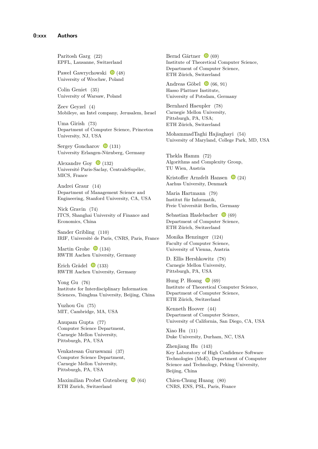Paritosh Garg [\(22\)](https://doi.org/10.4230/LIPIcs.ICALP.2021.22) EPFL, Lausanne, Switzerland

Paweł Gawrychowski  $\bullet$  [\(48\)](https://doi.org/10.4230/LIPIcs.ICALP.2021.48) University of Wrocław, Poland

Colin Geniet [\(35\)](https://doi.org/10.4230/LIPIcs.ICALP.2021.35) University of Warsaw, Poland

Zeev Geyzel [\(4\)](https://doi.org/10.4230/LIPIcs.ICALP.2021.4) Mobileye, an Intel company, Jerusalem, Israel

Uma Girish [\(73\)](https://doi.org/10.4230/LIPIcs.ICALP.2021.73) Department of Computer Science, Princeton University, NJ, USA

Sergey Goncharov  $\bullet$  [\(131\)](https://doi.org/10.4230/LIPIcs.ICALP.2021.131) University Erlangen-Nürnberg, Germany

Alexandre Goy  $\bullet$  [\(132\)](https://doi.org/10.4230/LIPIcs.ICALP.2021.132) Université Paris-Saclay, CentraleSupélec, MICS, France

Andrei Graur [\(14\)](https://doi.org/10.4230/LIPIcs.ICALP.2021.14) Department of Management Science and Engineering, Stanford University, CA, USA

Nick Gravin [\(74\)](https://doi.org/10.4230/LIPIcs.ICALP.2021.74) ITCS, Shanghai University of Finance and Economics, China

Sander Gribling [\(110\)](https://doi.org/10.4230/LIPIcs.ICALP.2021.110) IRIF, Université de Paris, CNRS, Paris, France

Martin Grohe  $\bullet$  [\(134\)](https://doi.org/10.4230/LIPIcs.ICALP.2021.134) RWTH Aachen University, Germany

Erich Grädel  $\bullet$  [\(133\)](https://doi.org/10.4230/LIPIcs.ICALP.2021.133) RWTH Aachen University, Germany

Yong Gu [\(76\)](https://doi.org/10.4230/LIPIcs.ICALP.2021.76) Institute for Interdisciplinary Information Sciences, Tsinghua University, Beijing, China

Yuzhou Gu [\(75\)](https://doi.org/10.4230/LIPIcs.ICALP.2021.75) MIT, Cambridge, MA, USA

Anupam Gupta [\(77\)](https://doi.org/10.4230/LIPIcs.ICALP.2021.77) Computer Science Department, Carnegie Mellon University, Pittsburgh, PA, USA

Venkatesan Guruswami [\(37\)](https://doi.org/10.4230/LIPIcs.ICALP.2021.37) Computer Science Department, Carnegie Mellon University, Pittsburgh, PA, USA

Maximilian Probst Gutenberg  $\bullet$  [\(64\)](https://doi.org/10.4230/LIPIcs.ICALP.2021.64) ETH Zurich, Switzerland

Bernd Gärtner  $\bullet$  [\(69\)](https://doi.org/10.4230/LIPIcs.ICALP.2021.69) Institute of Theoretical Computer Science, Department of Computer Science, ETH Zürich, Switzerland

Andreas Göbel  $\bullet$  [\(66,](https://doi.org/10.4230/LIPIcs.ICALP.2021.66) [91\)](https://doi.org/10.4230/LIPIcs.ICALP.2021.91) Hasso Plattner Institute, University of Potsdam, Germany

Bernhard Haeupler [\(78\)](https://doi.org/10.4230/LIPIcs.ICALP.2021.78) Carnegie Mellon University, Pittsburgh, PA, USA; ETH Zürich, Switzerland

MohammadTaghi Hajiaghayi [\(54\)](https://doi.org/10.4230/LIPIcs.ICALP.2021.54) University of Maryland, College Park, MD, USA

Thekla Hamm [\(72\)](https://doi.org/10.4230/LIPIcs.ICALP.2021.72) Algorithms and Complexity Group, TU Wien, Austria

Kristoffer Arnsfelt Hansen  $\bullet$  [\(24\)](https://doi.org/10.4230/LIPIcs.ICALP.2021.24) Aarhus University, Denmark

Maria Hartmann [\(79\)](https://doi.org/10.4230/LIPIcs.ICALP.2021.79) Institut für Informatik, Freie Universität Berlin, Germany

Sebastian Haslebacher  $\bullet$  [\(69\)](https://doi.org/10.4230/LIPIcs.ICALP.2021.69) Department of Computer Science, ETH Zürich, Switzerland

Monika Henzinger [\(124\)](https://doi.org/10.4230/LIPIcs.ICALP.2021.124) Faculty of Computer Science, University of Vienna, Austria

D. Ellis Hershkowitz [\(78\)](https://doi.org/10.4230/LIPIcs.ICALP.2021.78) Carnegie Mellon University, Pittsburgh, PA, USA

Hung P. Hoang  $\bullet$  [\(69\)](https://doi.org/10.4230/LIPIcs.ICALP.2021.69) Institute of Theoretical Computer Science, Department of Computer Science, ETH Zürich, Switzerland

Kenneth Hoover [\(44\)](https://doi.org/10.4230/LIPIcs.ICALP.2021.44) Department of Computer Science, University of California, San Diego, CA, USA

Xiao Hu [\(11\)](https://doi.org/10.4230/LIPIcs.ICALP.2021.11) Duke University, Durham, NC, USA

Zhenjiang Hu [\(143\)](https://doi.org/10.4230/LIPIcs.ICALP.2021.143) Key Laboratory of High Confidence Software Technologies (MoE), Department of Computer Science and Technology, Peking University, Beijing, China

Chien-Chung Huang [\(80\)](https://doi.org/10.4230/LIPIcs.ICALP.2021.80) CNRS, ENS, PSL, Paris, France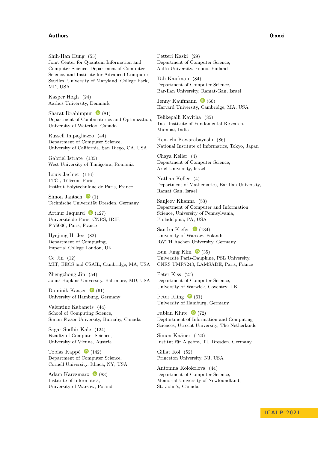## **Authors 0:xxxi**

Shih-Han Hung [\(55\)](https://doi.org/10.4230/LIPIcs.ICALP.2021.55) Joint Center for Quantum Information and Computer Science, Department of Computer Science, and Institute for Advanced Computer Studies, University of Maryland, College Park, MD, USA

Kasper Høgh [\(24\)](https://doi.org/10.4230/LIPIcs.ICALP.2021.24) Aarhus University, Denmark

Sharat Ibrahimpur  $\bullet$  [\(81\)](https://doi.org/10.4230/LIPIcs.ICALP.2021.81) Department of Combinatorics and Optimization, University of Waterloo, Canada

Russell Impagliazzo [\(44\)](https://doi.org/10.4230/LIPIcs.ICALP.2021.44) Department of Computer Science, University of California, San Diego, CA, USA

Gabriel Istrate [\(135\)](https://doi.org/10.4230/LIPIcs.ICALP.2021.135) West University of Timişoara, Romania

Louis Jachiet [\(116\)](https://doi.org/10.4230/LIPIcs.ICALP.2021.116) LTCI, Télécom Paris, Institut Polytechnique de Paris, France

Simon Jantsch  $\bullet$  [\(1\)](https://doi.org/10.4230/LIPIcs.ICALP.2021.1) Technische Universität Dresden, Germany

Arthur Jaquard  $\bullet$  [\(127\)](https://doi.org/10.4230/LIPIcs.ICALP.2021.127) Université de Paris, CNRS, IRIF, F-75006, Paris, France

Hyejung H. Jee [\(82\)](https://doi.org/10.4230/LIPIcs.ICALP.2021.82) Department of Computing, Imperial College London, UK

Ce Jin [\(12\)](https://doi.org/10.4230/LIPIcs.ICALP.2021.12) MIT, EECS and CSAIL, Cambridge, MA, USA

Zhengzhong Jin [\(54\)](https://doi.org/10.4230/LIPIcs.ICALP.2021.54) Johns Hopkins University, Baltimore, MD, USA

Dominik Kaaser  $\bullet$  [\(61\)](https://doi.org/10.4230/LIPIcs.ICALP.2021.61) University of Hamburg, Germany

Valentine Kabanets [\(44\)](https://doi.org/10.4230/LIPIcs.ICALP.2021.44) School of Computing Science, Simon Fraser University, Burnaby, Canada

Sagar Sudhir Kale [\(124\)](https://doi.org/10.4230/LIPIcs.ICALP.2021.124) Faculty of Computer Science, University of Vienna, Austria

Tobias Kappé  $\bullet$  [\(142\)](https://doi.org/10.4230/LIPIcs.ICALP.2021.142) Department of Computer Science, Cornell University, Ithaca, NY, USA

Adam Karczmarz  $\bullet$  [\(83\)](https://doi.org/10.4230/LIPIcs.ICALP.2021.83) Institute of Informatics, University of Warsaw, Poland Petteri Kaski [\(29\)](https://doi.org/10.4230/LIPIcs.ICALP.2021.29) Department of Computer Science, Aalto University, Espoo, Finland

Tali Kaufman [\(84\)](https://doi.org/10.4230/LIPIcs.ICALP.2021.84) Department of Computer Science, Bar-Ilan University, Ramat-Gan, Israel

Jenny Kaufmann  $\bullet$  [\(60\)](https://doi.org/10.4230/LIPIcs.ICALP.2021.60) Harvard University, Cambridge, MA, USA

Telikepalli Kavitha [\(85\)](https://doi.org/10.4230/LIPIcs.ICALP.2021.85) Tata Institute of Fundamental Research, Mumbai, India

Ken-ichi Kawarabayashi [\(86\)](https://doi.org/10.4230/LIPIcs.ICALP.2021.86) National Institute of Informatics, Tokyo, Japan

Chaya Keller [\(4\)](https://doi.org/10.4230/LIPIcs.ICALP.2021.4) Department of Computer Science, Ariel University, Israel

Nathan Keller [\(4\)](https://doi.org/10.4230/LIPIcs.ICALP.2021.4) Department of Mathematics, Bar Ilan University, Ramat Gan, Israel

Sanjeev Khanna [\(53\)](https://doi.org/10.4230/LIPIcs.ICALP.2021.53) Department of Computer and Information Science, University of Pennsylvania, Philadelphia, PA, USA

Sandra Kiefer  $\bullet$  [\(134\)](https://doi.org/10.4230/LIPIcs.ICALP.2021.134) University of Warsaw, Poland; RWTH Aachen University, Germany

Eun Jung Kim  $\bullet$  [\(35\)](https://doi.org/10.4230/LIPIcs.ICALP.2021.35) Université Paris-Dauphine, PSL University, CNRS UMR7243, LAMSADE, Paris, France

Peter Kiss [\(27\)](https://doi.org/10.4230/LIPIcs.ICALP.2021.27) Department of Computer Science, University of Warwick, Coventry, UK

Peter Kling  $\bullet$  [\(61\)](https://doi.org/10.4230/LIPIcs.ICALP.2021.61) University of Hamburg, Germany

Fabian Klute  $\bullet$  [\(72\)](https://doi.org/10.4230/LIPIcs.ICALP.2021.72) Deptartment of Information and Computing Sciences, Utrecht University, The Netherlands

Simon Knäuer [\(120\)](https://doi.org/10.4230/LIPIcs.ICALP.2021.120) Institut für Algebra, TU Dresden, Germany

Gillat Kol [\(52\)](https://doi.org/10.4230/LIPIcs.ICALP.2021.52) Princeton University, NJ, USA

Antonina Kolokolova [\(44\)](https://doi.org/10.4230/LIPIcs.ICALP.2021.44) Department of Computer Science, Memorial University of Newfoundland, St. John's, Canada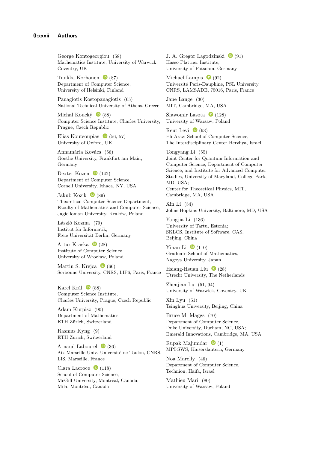George Kontogeorgiou [\(58\)](https://doi.org/10.4230/LIPIcs.ICALP.2021.58) Mathematics Institute, University of Warwick, Coventry, UK

Tuukka Korhonen  $\bullet$  [\(87\)](https://doi.org/10.4230/LIPIcs.ICALP.2021.87) Department of Computer Science, University of Helsinki, Finland

Panagiotis Kostopanagiotis [\(65\)](https://doi.org/10.4230/LIPIcs.ICALP.2021.65) National Technical University of Athens, Greece

Michal Koucký  $\bullet$  [\(88\)](https://doi.org/10.4230/LIPIcs.ICALP.2021.88) Computer Science Institute, Charles University, Prague, Czech Republic

Elias Koutsoupias  $\bullet$  [\(56,](https://doi.org/10.4230/LIPIcs.ICALP.2021.56) [57\)](https://doi.org/10.4230/LIPIcs.ICALP.2021.57) University of Oxford, UK

Annamária Kovács [\(56\)](https://doi.org/10.4230/LIPIcs.ICALP.2021.56) Goethe University, Frankfurt am Main, Germany

Dexter Kozen  $\bullet$  [\(142\)](https://doi.org/10.4230/LIPIcs.ICALP.2021.142) Department of Computer Science, Cornell University, Ithaca, NY, USA

Jakub Kozik  $\bullet$  [\(89\)](https://doi.org/10.4230/LIPIcs.ICALP.2021.89) Theoretical Computer Science Department, Faculty of Mathematics and Computer Science, Jagiellonian University, Kraków, Poland

László Kozma [\(79\)](https://doi.org/10.4230/LIPIcs.ICALP.2021.79) Institut für Informatik, Freie Universität Berlin, Germany

Artur Kraska  $\bullet$  [\(28\)](https://doi.org/10.4230/LIPIcs.ICALP.2021.28) Institute of Computer Science, University of Wrocław, Poland

Martin S. Krejca  $\bullet$  [\(66\)](https://doi.org/10.4230/LIPIcs.ICALP.2021.66) Sorbonne University, CNRS, LIP6, Paris, France

Karel Král  $\bullet$  [\(88\)](https://doi.org/10.4230/LIPIcs.ICALP.2021.88) Computer Science Institute, Charles University, Prague, Czech Republic

Adam Kurpisz [\(90\)](https://doi.org/10.4230/LIPIcs.ICALP.2021.90) Department of Mathematics, ETH Zürich, Switzerland

Rasmus Kyng [\(9\)](https://doi.org/10.4230/LIPIcs.ICALP.2021.9) ETH Zurich, Switzerland

Arnaud Labourel  $\bullet$  [\(36\)](https://doi.org/10.4230/LIPIcs.ICALP.2021.36) Aix Marseille Univ, Université de Toulon, CNRS, LIS, Marseille, France

Clara Lacroce  $\bullet$  [\(118\)](https://doi.org/10.4230/LIPIcs.ICALP.2021.118) School of Computer Science, McGill University, Montréal, Canada; Mila, Montréal, Canada

J. A. Gregor Lagodzinski  $\bullet$  [\(91\)](https://doi.org/10.4230/LIPIcs.ICALP.2021.91) Hasso Plattner Institute, University of Potsdam, Germany

Michael Lampis  $\bullet$  [\(92\)](https://doi.org/10.4230/LIPIcs.ICALP.2021.92) Université Paris-Dauphine, PSL University, CNRS, LAMSADE, 75016, Paris, France

Jane Lange [\(30\)](https://doi.org/10.4230/LIPIcs.ICALP.2021.30) MIT, Cambridge, MA, USA

Sławomir Lasota  $\bullet$  [\(128\)](https://doi.org/10.4230/LIPIcs.ICALP.2021.128) University of Warsaw, Poland

Reut Levi  $\bullet$  [\(93\)](https://doi.org/10.4230/LIPIcs.ICALP.2021.93) Efi Arazi School of Computer Science, The Interdisciplinary Center Herzliya, Israel

Tongyang Li [\(55\)](https://doi.org/10.4230/LIPIcs.ICALP.2021.55) Joint Center for Quantum Information and Computer Science, Department of Computer Science, and Institute for Advanced Computer Studies, University of Maryland, College Park, MD, USA; Center for Theoretical Physics, MIT, Cambridge, MA, USA

Xin Li [\(54\)](https://doi.org/10.4230/LIPIcs.ICALP.2021.54) Johns Hopkins University, Baltimore, MD, USA

Yangjia Li [\(136\)](https://doi.org/10.4230/LIPIcs.ICALP.2021.136) University of Tartu, Estonia; SKLCS, Institute of Software, CAS, Beijing, China

Yinan Li  $\bullet$  [\(110\)](https://doi.org/10.4230/LIPIcs.ICALP.2021.110) Graduate School of Mathematics, Nagoya University, Japan

Hsiang-Hsuan Liu  $\bullet$  [\(28\)](https://doi.org/10.4230/LIPIcs.ICALP.2021.28) Utrecht University, The Netherlands

Zhenjian Lu [\(51,](https://doi.org/10.4230/LIPIcs.ICALP.2021.51) [94\)](https://doi.org/10.4230/LIPIcs.ICALP.2021.94) University of Warwick, Coventry, UK

Xin Lyu [\(51\)](https://doi.org/10.4230/LIPIcs.ICALP.2021.51) Tsinghua University, Beijing, China

Bruce M. Maggs [\(70\)](https://doi.org/10.4230/LIPIcs.ICALP.2021.70) Department of Computer Science, Duke University, Durham, NC, USA; Emerald Innovations, Cambridge, MA, USA

Rupak Majumdar  $\bullet$  [\(1\)](https://doi.org/10.4230/LIPIcs.ICALP.2021.1) MPI-SWS, Kaiserslautern, Germany

Noa Marelly [\(46\)](https://doi.org/10.4230/LIPIcs.ICALP.2021.46) Department of Computer Science, Technion, Haifa, Israel

Mathieu Mari [\(80\)](https://doi.org/10.4230/LIPIcs.ICALP.2021.80) University of Warsaw, Poland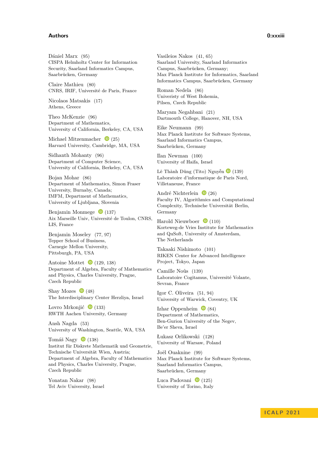## **Authors 0:xxxiii**

Dániel Marx [\(95\)](https://doi.org/10.4230/LIPIcs.ICALP.2021.95) CISPA Helmholtz Center for Information Security, Saarland Informatics Campus, Saarbrücken, Germany

Claire Mathieu [\(80\)](https://doi.org/10.4230/LIPIcs.ICALP.2021.80) CNRS, IRIF, Université de Paris, France

Nicolaos Matsakis [\(17\)](https://doi.org/10.4230/LIPIcs.ICALP.2021.17) Athens, Greece

Theo McKenzie [\(96\)](https://doi.org/10.4230/LIPIcs.ICALP.2021.96) Department of Mathematics, University of California, Berkeley, CA, USA

Michael Mitzenmacher  $\bullet$  [\(25\)](https://doi.org/10.4230/LIPIcs.ICALP.2021.25) Harvard University, Cambridge, MA, USA

Sidhanth Mohanty [\(96\)](https://doi.org/10.4230/LIPIcs.ICALP.2021.96) Department of Computer Science, University of California, Berkeley, CA, USA

Bojan Mohar [\(86\)](https://doi.org/10.4230/LIPIcs.ICALP.2021.86) Department of Mathematics, Simon Fraser University, Burnaby, Canada; IMFM, Department of Mathematics, University of Ljubljana, Slovenia

Benjamin Monmege  $\bullet$  [\(137\)](https://doi.org/10.4230/LIPIcs.ICALP.2021.137) Aix Marseille Univ, Université de Toulon, CNRS, LIS, France

Benjamin Moseley [\(77,](https://doi.org/10.4230/LIPIcs.ICALP.2021.77) [97\)](https://doi.org/10.4230/LIPIcs.ICALP.2021.97) Tepper School of Business, Carnegie Mellon University, Pittsburgh, PA, USA

Antoine Mottet  $\bullet$  [\(129,](https://doi.org/10.4230/LIPIcs.ICALP.2021.129) [138\)](https://doi.org/10.4230/LIPIcs.ICALP.2021.138) Department of Algebra, Faculty of Mathematics and Physics, Charles University, Prague, Czech Republic

Shay Mozes  $\bullet$  [\(48\)](https://doi.org/10.4230/LIPIcs.ICALP.2021.48) The Interdisciplinary Center Herzliya, Israel

Lovro Mrkonjić  $\bullet$  [\(133\)](https://doi.org/10.4230/LIPIcs.ICALP.2021.133) RWTH Aachen University, Germany

Ansh Nagda [\(53\)](https://doi.org/10.4230/LIPIcs.ICALP.2021.53) University of Washington, Seattle, WA, USA

Tomáš Nagy  $\bullet$  [\(138\)](https://doi.org/10.4230/LIPIcs.ICALP.2021.138) Institut für Diskrete Mathematik und Geometrie, Technische Universität Wien, Austria; Department of Algebra, Faculty of Mathematics and Physics, Charles University, Prague, Czech Republic

Yonatan Nakar [\(98\)](https://doi.org/10.4230/LIPIcs.ICALP.2021.98) Tel Aviv University, Israel Vasileios Nakos [\(41,](https://doi.org/10.4230/LIPIcs.ICALP.2021.41) [65\)](https://doi.org/10.4230/LIPIcs.ICALP.2021.65) Saarland University, Saarland Informatics Campus, Saarbrücken, Germany; Max Planck Institute for Informatics, Saarland Informatics Campus, Saarbrücken, Germany

Roman Nedela [\(86\)](https://doi.org/10.4230/LIPIcs.ICALP.2021.86) Univeristy of West Bohemia, Pilsen, Czech Republic

Maryam Negahbani [\(21\)](https://doi.org/10.4230/LIPIcs.ICALP.2021.21) Dartmouth College, Hanover, NH, USA

Eike Neumann [\(99\)](https://doi.org/10.4230/LIPIcs.ICALP.2021.99) Max Planck Institute for Software Systems, Saarland Informatics Campus, Saarbrücken, Germany

Ilan Newman [\(100\)](https://doi.org/10.4230/LIPIcs.ICALP.2021.100) University of Haifa, Israel

Lê Thành Dũng (Tito) Nguyễn  $\bullet$  [\(139\)](https://doi.org/10.4230/LIPIcs.ICALP.2021.139) Laboratoire d'informatique de Paris Nord, Villetaneuse, France

André Nichterlein  $\bullet$  [\(26\)](https://doi.org/10.4230/LIPIcs.ICALP.2021.26) Faculty IV, Algorithmics and Computational Complexity, Technische Universität Berlin, Germany

Harold Nieuwboer  $\bullet$  [\(110\)](https://doi.org/10.4230/LIPIcs.ICALP.2021.110) Korteweg-de Vries Institute for Mathematics and QuSoft, University of Amsterdam, The Netherlands

Takaaki Nishimoto [\(101\)](https://doi.org/10.4230/LIPIcs.ICALP.2021.101) RIKEN Center for Advanced Intelligence Project, Tokyo, Japan

Camille Noûs [\(139\)](https://doi.org/10.4230/LIPIcs.ICALP.2021.139) Laboratoire Cogitamus, Université Volante, Sevran, France

Igor C. Oliveira [\(51,](https://doi.org/10.4230/LIPIcs.ICALP.2021.51) [94\)](https://doi.org/10.4230/LIPIcs.ICALP.2021.94) University of Warwick, Coventry, UK

Izhar Oppenheim  $\bullet$  [\(84\)](https://doi.org/10.4230/LIPIcs.ICALP.2021.84) Department of Mathematics, Ben-Gurion University of the Negev, Be'er Sheva, Israel

Łukasz Orlikowski [\(128\)](https://doi.org/10.4230/LIPIcs.ICALP.2021.128) University of Warsaw, Poland

Joël Ouaknine [\(99\)](https://doi.org/10.4230/LIPIcs.ICALP.2021.99) Max Planck Institute for Software Systems, Saarland Informatics Campus, Saarbrücken, Germany

Luca Padovani  $\bullet$  [\(125\)](https://doi.org/10.4230/LIPIcs.ICALP.2021.125) University of Torino, Italy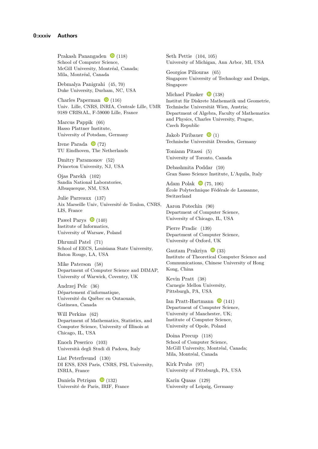Prakash Panangaden  $\bullet$  [\(118\)](https://doi.org/10.4230/LIPIcs.ICALP.2021.118) School of Computer Science, McGill University, Montréal, Canada; Mila, Montréal, Canada

Debmalya Panigrahi [\(45,](https://doi.org/10.4230/LIPIcs.ICALP.2021.45) [70\)](https://doi.org/10.4230/LIPIcs.ICALP.2021.70) Duke University, Durham, NC, USA

Charles Paperman  $\bullet$  [\(116\)](https://doi.org/10.4230/LIPIcs.ICALP.2021.116) Univ. Lille, CNRS, INRIA, Centrale Lille, UMR 9189 CRIStAL, F-59000 Lille, France

Marcus Pappik [\(66\)](https://doi.org/10.4230/LIPIcs.ICALP.2021.66) Hasso Plattner Institute, University of Potsdam, Germany

Irene Parada  $\bullet$  [\(72\)](https://doi.org/10.4230/LIPIcs.ICALP.2021.72) TU Eindhoven, The Netherlands

Dmitry Paramonov [\(52\)](https://doi.org/10.4230/LIPIcs.ICALP.2021.52) Princeton University, NJ, USA

Ojas Parekh [\(102\)](https://doi.org/10.4230/LIPIcs.ICALP.2021.102) Sandia National Laboratories, Albuquerque, NM, USA

Julie Parreaux [\(137\)](https://doi.org/10.4230/LIPIcs.ICALP.2021.137) Aix Marseille Univ, Université de Toulon, CNRS, LIS, France

Paweł Parys  $\bullet$  [\(140\)](https://doi.org/10.4230/LIPIcs.ICALP.2021.140) Institute of Informatics, University of Warsaw, Poland

Dhrumil Patel [\(71\)](https://doi.org/10.4230/LIPIcs.ICALP.2021.71) School of EECS, Louisiana State University, Baton Rouge, LA, USA

Mike Paterson [\(58\)](https://doi.org/10.4230/LIPIcs.ICALP.2021.58) Department of Computer Science and DIMAP, University of Warwick, Coventry, UK

Andrzej Pelc [\(36\)](https://doi.org/10.4230/LIPIcs.ICALP.2021.36) Département d'informatique, Université du Québec en Outaouais, Gatineau, Canada

Will Perkins [\(62\)](https://doi.org/10.4230/LIPIcs.ICALP.2021.62) Department of Mathematics, Statistics, and Computer Science, University of Illinois at Chicago, IL, USA

Enoch Peserico [\(103\)](https://doi.org/10.4230/LIPIcs.ICALP.2021.103) Università degli Studi di Padova, Italy

Liat Peterfreund [\(130\)](https://doi.org/10.4230/LIPIcs.ICALP.2021.130) DI ENS, ENS Paris, CNRS, PSL University, INRIA, France

Daniela Petrişan  $\bullet$  [\(132\)](https://doi.org/10.4230/LIPIcs.ICALP.2021.132) Université de Paris, IRIF, France Seth Pettie [\(104,](https://doi.org/10.4230/LIPIcs.ICALP.2021.104) [105\)](https://doi.org/10.4230/LIPIcs.ICALP.2021.105) University of Michigan, Ann Arbor, MI, USA

Georgios Piliouras [\(65\)](https://doi.org/10.4230/LIPIcs.ICALP.2021.65) Singapore University of Technology and Design, Singapore

Michael Pinsker  $\bullet$  [\(138\)](https://doi.org/10.4230/LIPIcs.ICALP.2021.138) Institut für Diskrete Mathematik und Geometrie, Technische Universität Wien, Austria; Department of Algebra, Faculty of Mathematics and Physics, Charles University, Prague, Czech Republic

Jakob Piribauer $\quad \ \ \, \textcircled{\scriptsize \bullet}$  [\(1\)](https://doi.org/10.4230/LIPIcs.ICALP.2021.1) Technische Universität Dresden, Germany

Toniann Pitassi [\(5\)](https://doi.org/10.4230/LIPIcs.ICALP.2021.5) University of Toronto, Canada

Debashmita Poddar [\(59\)](https://doi.org/10.4230/LIPIcs.ICALP.2021.59) Gran Sasso Science Institute, L'Aquila, Italy

Adam Polak  $\bullet$  [\(75,](https://doi.org/10.4230/LIPIcs.ICALP.2021.75) [106\)](https://doi.org/10.4230/LIPIcs.ICALP.2021.106) École Polytechnique Fédérale de Lausanne, Switzerland

Aaron Potechin [\(90\)](https://doi.org/10.4230/LIPIcs.ICALP.2021.90) Department of Computer Science, University of Chicago, IL, USA

Pierre Pradic [\(139\)](https://doi.org/10.4230/LIPIcs.ICALP.2021.139) Department of Computer Science, University of Oxford, UK

Gautam Prakriya  $\bullet$  [\(33\)](https://doi.org/10.4230/LIPIcs.ICALP.2021.33) Institute of Theoretical Computer Science and Communications, Chinese University of Hong Kong, China

Kevin Pratt [\(38\)](https://doi.org/10.4230/LIPIcs.ICALP.2021.38) Carnegie Mellon University, Pittsburgh, PA, USA

Ian Pratt-Hartmann  $\bullet$  [\(141\)](https://doi.org/10.4230/LIPIcs.ICALP.2021.141) Department of Computer Science, University of Manchester, UK; Institute of Computer Science, University of Opole, Poland

Doina Precup [\(118\)](https://doi.org/10.4230/LIPIcs.ICALP.2021.118) School of Computer Science, McGill University, Montréal, Canada; Mila, Montréal, Canada

Kirk Pruhs [\(97\)](https://doi.org/10.4230/LIPIcs.ICALP.2021.97) University of Pittsburgh, PA, USA

Karin Quaas [\(129\)](https://doi.org/10.4230/LIPIcs.ICALP.2021.129) University of Leipzig, Germany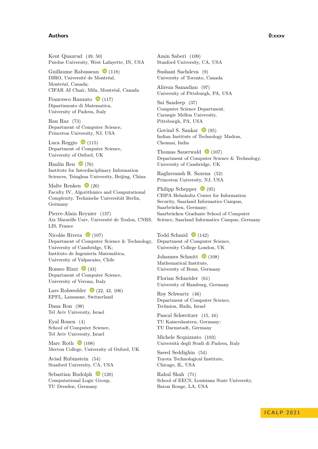#### **Authors 0:xxxv**

Kent Quanrud [\(49,](https://doi.org/10.4230/LIPIcs.ICALP.2021.49) [50\)](https://doi.org/10.4230/LIPIcs.ICALP.2021.50) Purdue University, West Lafayette, IN, USA

Guillaume Rabusseau  $\bullet$  [\(118\)](https://doi.org/10.4230/LIPIcs.ICALP.2021.118) DIRO, Université de Montréal, Montréal, Canada; CIFAR AI Chair, Mila, Montréal, Canada

Francesco Ranzato  $\bullet$  [\(117\)](https://doi.org/10.4230/LIPIcs.ICALP.2021.117) Dipartimento di Matematica, University of Padova, Italy

Ran Raz [\(73\)](https://doi.org/10.4230/LIPIcs.ICALP.2021.73) Department of Computer Science, Princeton University, NJ, USA

Luca Reggio  $\bullet$  [\(115\)](https://doi.org/10.4230/LIPIcs.ICALP.2021.115) Department of Computer Science, University of Oxford, UK

Hanlin Ren  $\bullet$  [\(76\)](https://doi.org/10.4230/LIPIcs.ICALP.2021.76) Institute for Interdisciplinary Information Sciences, Tsinghua University, Beijing, China

Malte Renken  $\bullet$  [\(26\)](https://doi.org/10.4230/LIPIcs.ICALP.2021.26) Faculty IV, Algorithmics and Computational Complexity, Technische Universität Berlin, Germany

Pierre-Alain Reynier [\(137\)](https://doi.org/10.4230/LIPIcs.ICALP.2021.137) Aix Marseille Univ, Université de Toulon, CNRS, LIS, France

Nicolás Rivera  $\bullet$  [\(107\)](https://doi.org/10.4230/LIPIcs.ICALP.2021.107) Department of Computer Science & Technology, University of Cambridge, UK; Instituto de Ingeniería Matemática, University of Valparaíso, Chile

Romeo Rizzi  $\bullet$  [\(43\)](https://doi.org/10.4230/LIPIcs.ICALP.2021.43) Department of Computer Science, University of Verona, Italy

Lars Rohwedder  $\bullet$  [\(22,](https://doi.org/10.4230/LIPIcs.ICALP.2021.22) [42,](https://doi.org/10.4230/LIPIcs.ICALP.2021.42) [106\)](https://doi.org/10.4230/LIPIcs.ICALP.2021.106) EPFL, Lausanne, Switzerland

Dana Ron [\(98\)](https://doi.org/10.4230/LIPIcs.ICALP.2021.98) Tel Aviv University, Israel

Eyal Ronen [\(4\)](https://doi.org/10.4230/LIPIcs.ICALP.2021.4) School of Computer Science, Tel Aviv University, Israel

Marc Roth  $\bullet$  [\(108\)](https://doi.org/10.4230/LIPIcs.ICALP.2021.108) Merton College, University of Oxford, UK

Aviad Rubinstein [\(54\)](https://doi.org/10.4230/LIPIcs.ICALP.2021.54) Stanford University, CA, USA

Sebastian Rudolph  $\bullet$  [\(120\)](https://doi.org/10.4230/LIPIcs.ICALP.2021.120) Computational Logic Group, TU Dresden, Germany

Amin Saberi [\(109\)](https://doi.org/10.4230/LIPIcs.ICALP.2021.109) Stanford University, CA, USA

Sushant Sachdeva [\(9\)](https://doi.org/10.4230/LIPIcs.ICALP.2021.9) University of Toronto, Canada

Alireza Samadian [\(97\)](https://doi.org/10.4230/LIPIcs.ICALP.2021.97) University of Pittsburgh, PA, USA

Sai Sandeep [\(37\)](https://doi.org/10.4230/LIPIcs.ICALP.2021.37) Computer Science Department, Carnegie Mellon University, Pittsburgh, PA, USA

Govind S. Sankar  $\bullet$  [\(95\)](https://doi.org/10.4230/LIPIcs.ICALP.2021.95) Indian Institute of Technology Madras, Chennai, India

Thomas Sauerwald  $\bullet$  [\(107\)](https://doi.org/10.4230/LIPIcs.ICALP.2021.107) Department of Computer Science & Technology, University of Cambridge, UK

Raghuvansh R. Saxena [\(52\)](https://doi.org/10.4230/LIPIcs.ICALP.2021.52) Princeton University, NJ, USA

Philipp Schepper  $\bullet$  [\(95\)](https://doi.org/10.4230/LIPIcs.ICALP.2021.95) CISPA Helmholtz Center for Information Security, Saarland Informatics Campus, Saarbrücken, Germany; Saarbrücken Graduate School of Computer Science, Saarland Informatics Campus, Germany

Todd Schmid  $\bullet$  [\(142\)](https://doi.org/10.4230/LIPIcs.ICALP.2021.142) Department of Computer Science, University College London, UK

Johannes Schmitt  $\bullet$  [\(108\)](https://doi.org/10.4230/LIPIcs.ICALP.2021.108) Mathematical Institute, University of Bonn, Germany

Florian Schneider [\(61\)](https://doi.org/10.4230/LIPIcs.ICALP.2021.61) University of Hamburg, Germany

Roy Schwartz [\(46\)](https://doi.org/10.4230/LIPIcs.ICALP.2021.46) Department of Computer Science, Technion, Haifa, Israel

Pascal Schweitzer [\(15,](https://doi.org/10.4230/LIPIcs.ICALP.2021.15) [16\)](https://doi.org/10.4230/LIPIcs.ICALP.2021.16) TU Kaiserslautern, Germany; TU Darmstadt, Germany

Michele Scquizzato [\(103\)](https://doi.org/10.4230/LIPIcs.ICALP.2021.103) Università degli Studi di Padova, Italy

Saeed Seddighin [\(54\)](https://doi.org/10.4230/LIPIcs.ICALP.2021.54) Toyota Technological Institute, Chicago, IL, USA

Rahul Shah [\(71\)](https://doi.org/10.4230/LIPIcs.ICALP.2021.71) School of EECS, Louisiana State University, Baton Rouge, LA, USA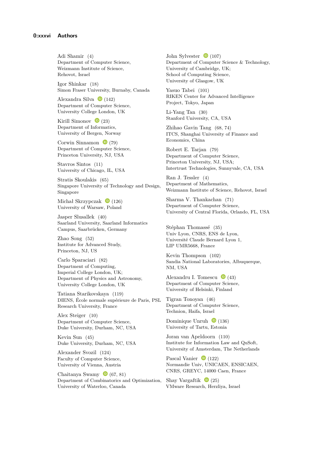Adi Shamir [\(4\)](https://doi.org/10.4230/LIPIcs.ICALP.2021.4) Department of Computer Science, Weizmann Institute of Science, Rehovot, Israel

Igor Shinkar [\(18\)](https://doi.org/10.4230/LIPIcs.ICALP.2021.18) Simon Fraser University, Burnaby, Canada

Alexandra Silva  $\bullet$  [\(142\)](https://doi.org/10.4230/LIPIcs.ICALP.2021.142) Department of Computer Science, University College London, UK

Kirill Simonov  $\bullet$  [\(23\)](https://doi.org/10.4230/LIPIcs.ICALP.2021.23) Department of Informatics, University of Bergen, Norway

Corwin Sinnamon  $\bullet$  [\(79\)](https://doi.org/10.4230/LIPIcs.ICALP.2021.79) Department of Computer Science, Princeton University, NJ, USA

Stavros Sintos [\(11\)](https://doi.org/10.4230/LIPIcs.ICALP.2021.11) University of Chicago, IL, USA

Stratis Skoulakis [\(65\)](https://doi.org/10.4230/LIPIcs.ICALP.2021.65) Singapore University of Technology and Design, Singapore

Michał Skrzypczak  $\bullet$  [\(126\)](https://doi.org/10.4230/LIPIcs.ICALP.2021.126) University of Warsaw, Poland

Jasper Slusallek [\(40\)](https://doi.org/10.4230/LIPIcs.ICALP.2021.40) Saarland University, Saarland Informatics Campus, Saarbrücken, Germany

Zhao Song [\(52\)](https://doi.org/10.4230/LIPIcs.ICALP.2021.52) Institute for Advanced Study, Princeton, NJ, US

Carlo Sparaciari [\(82\)](https://doi.org/10.4230/LIPIcs.ICALP.2021.82) Department of Computing, Imperial College London, UK; Department of Physics and Astronomy, University College London, UK

Tatiana Starikovskaya [\(119\)](https://doi.org/10.4230/LIPIcs.ICALP.2021.119) DIENS, École normale supérieure de Paris, PSL Research University, France

Alex Steiger [\(10\)](https://doi.org/10.4230/LIPIcs.ICALP.2021.10) Department of Computer Science, Duke University, Durham, NC, USA

Kevin Sun [\(45\)](https://doi.org/10.4230/LIPIcs.ICALP.2021.45) Duke University, Durham, NC, USA

Alexander Svozil [\(124\)](https://doi.org/10.4230/LIPIcs.ICALP.2021.124) Faculty of Computer Science, University of Vienna, Austria

Chaitanya Swamy  $\bullet$  [\(67,](https://doi.org/10.4230/LIPIcs.ICALP.2021.67) [81\)](https://doi.org/10.4230/LIPIcs.ICALP.2021.81) Department of Combinatorics and Optimization, University of Waterloo, Canada

John Sylvester  $\bullet$  [\(107\)](https://doi.org/10.4230/LIPIcs.ICALP.2021.107) Department of Computer Science & Technology, University of Cambridge, UK; School of Computing Science, University of Glasgow, UK

Yasuo Tabei [\(101\)](https://doi.org/10.4230/LIPIcs.ICALP.2021.101) RIKEN Center for Advanced Intelligence Project, Tokyo, Japan

Li-Yang Tan [\(30\)](https://doi.org/10.4230/LIPIcs.ICALP.2021.30) Stanford University, CA, USA

Zhihao Gavin Tang [\(68,](https://doi.org/10.4230/LIPIcs.ICALP.2021.68) [74\)](https://doi.org/10.4230/LIPIcs.ICALP.2021.74) ITCS, Shanghai University of Finance and Economics, China

Robert E. Tarjan [\(79\)](https://doi.org/10.4230/LIPIcs.ICALP.2021.79) Department of Computer Science, Princeton University, NJ, USA; Intertrust Technologies, Sunnyvale, CA, USA

Ran J. Tessler [\(4\)](https://doi.org/10.4230/LIPIcs.ICALP.2021.4) Department of Mathematics, Weizmann Institute of Science, Rehovot, Israel

Sharma V. Thankachan [\(71\)](https://doi.org/10.4230/LIPIcs.ICALP.2021.71) Department of Computer Science, University of Central Florida, Orlando, FL, USA

Stéphan Thomassé [\(35\)](https://doi.org/10.4230/LIPIcs.ICALP.2021.35) Univ Lyon, CNRS, ENS de Lyon, Université Claude Bernard Lyon 1, LIP UMR5668, France

Kevin Thompson [\(102\)](https://doi.org/10.4230/LIPIcs.ICALP.2021.102) Sandia National Laboratories, Albuquerque, NM, USA

Alexandru I. Tomescu  $\bullet$  [\(43\)](https://doi.org/10.4230/LIPIcs.ICALP.2021.43) Department of Computer Science, University of Helsinki, Finland

Tigran Tonoyan [\(46\)](https://doi.org/10.4230/LIPIcs.ICALP.2021.46) Department of Computer Science, Technion, Haifa, Israel

Dominique Unruh  $\bullet$  [\(136\)](https://doi.org/10.4230/LIPIcs.ICALP.2021.136) University of Tartu, Estonia

Joran van Apeldoorn [\(110\)](https://doi.org/10.4230/LIPIcs.ICALP.2021.110) Institute for Information Law and QuSoft, University of Amsterdam, The Netherlands

Pascal Vanier  $\bullet$  [\(122\)](https://doi.org/10.4230/LIPIcs.ICALP.2021.122) Normandie Univ, UNICAEN, ENSICAEN, CNRS, GREYC, 14000 Caen, France

Shay Vargaftik  $\bullet$  [\(25\)](https://doi.org/10.4230/LIPIcs.ICALP.2021.25) VMware Research, Herzliya, Israel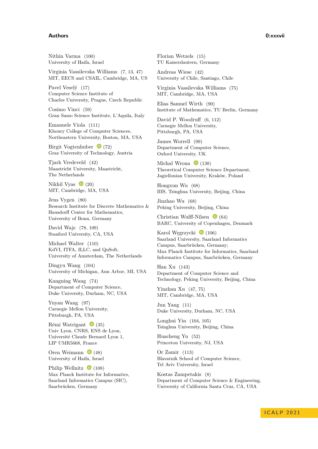### **Authors 0:xxxvii**

Nithin Varma [\(100\)](https://doi.org/10.4230/LIPIcs.ICALP.2021.100) University of Haifa, Israel

Virginia Vassilevska Williams [\(7,](https://doi.org/10.4230/LIPIcs.ICALP.2021.7) [13,](https://doi.org/10.4230/LIPIcs.ICALP.2021.13) [47\)](https://doi.org/10.4230/LIPIcs.ICALP.2021.47) MIT, EECS and CSAIL, Cambridge, MA, US

Pavel Veselý [\(17\)](https://doi.org/10.4230/LIPIcs.ICALP.2021.17) Computer Science Institute of Charles University, Prague, Czech Republic

Cosimo Vinci [\(59\)](https://doi.org/10.4230/LIPIcs.ICALP.2021.59) Gran Sasso Science Institute, L'Aquila, Italy

Emanuele Viola [\(111\)](https://doi.org/10.4230/LIPIcs.ICALP.2021.111) Khoury College of Computer Sciences, Northeastern University, Boston, MA, USA

Birgit Vogtenhuber  $\bullet$  [\(72\)](https://doi.org/10.4230/LIPIcs.ICALP.2021.72) Graz University of Technology, Austria

Tjark Vredeveld [\(42\)](https://doi.org/10.4230/LIPIcs.ICALP.2021.42) Maastricht University, Maastricht, The Netherlands

Nikhil Vyas  $\bullet$  [\(20\)](https://doi.org/10.4230/LIPIcs.ICALP.2021.20) MIT, Cambridge, MA, USA

Jens Vygen [\(80\)](https://doi.org/10.4230/LIPIcs.ICALP.2021.80) Research Institute for Discrete Mathematics & Hausdorff Center for Mathematics, University of Bonn, Germany

David Wajc [\(78,](https://doi.org/10.4230/LIPIcs.ICALP.2021.78) [109\)](https://doi.org/10.4230/LIPIcs.ICALP.2021.109) Stanford University, CA, USA

Michael Walter [\(110\)](https://doi.org/10.4230/LIPIcs.ICALP.2021.110) KdVI, ITFA, ILLC, and QuSoft, University of Amsterdam, The Netherlands

Dingyu Wang [\(104\)](https://doi.org/10.4230/LIPIcs.ICALP.2021.104) University of Michigan, Ann Arbor, MI, USA

Kangning Wang [\(74\)](https://doi.org/10.4230/LIPIcs.ICALP.2021.74) Department of Computer Science, Duke University, Durham, NC, USA

Yuyan Wang [\(97\)](https://doi.org/10.4230/LIPIcs.ICALP.2021.97) Carnegie Mellon University, Pittsburgh, PA, USA

Rémi Watrigant  $\bullet$  [\(35\)](https://doi.org/10.4230/LIPIcs.ICALP.2021.35) Univ Lyon, CNRS, ENS de Lyon, Université Claude Bernard Lyon 1, LIP UMR5668, France

Oren Weimann  $\bullet$  [\(48\)](https://doi.org/10.4230/LIPIcs.ICALP.2021.48) University of Haifa, Israel

Philip Wellnitz  $\bullet$  [\(108\)](https://doi.org/10.4230/LIPIcs.ICALP.2021.108) Max Planck Institute for Informatics, Saarland Informatics Campus (SIC), Saarbrücken, Germany

Florian Wetzels [\(15\)](https://doi.org/10.4230/LIPIcs.ICALP.2021.15) TU Kaiserslautern, Germany

Andreas Wiese [\(42\)](https://doi.org/10.4230/LIPIcs.ICALP.2021.42) University of Chile, Santiago, Chile

Virginia Vassilevska Williams [\(75\)](https://doi.org/10.4230/LIPIcs.ICALP.2021.75) MIT, Cambridge, MA, USA

Elias Samuel Wirth [\(90\)](https://doi.org/10.4230/LIPIcs.ICALP.2021.90) Institute of Mathematics, TU Berlin, Germany

David P. Woodruff [\(6,](https://doi.org/10.4230/LIPIcs.ICALP.2021.6) [112\)](https://doi.org/10.4230/LIPIcs.ICALP.2021.112) Carnegie Mellon University, Pittsburgh, PA, USA

James Worrell [\(99\)](https://doi.org/10.4230/LIPIcs.ICALP.2021.99) Department of Computer Science, Oxford University, UK

Michał Wrona  $\bullet$  [\(138\)](https://doi.org/10.4230/LIPIcs.ICALP.2021.138) Theoretical Computer Science Department, Jagiellonian University, Kraków, Poland

Hongxun Wu [\(68\)](https://doi.org/10.4230/LIPIcs.ICALP.2021.68) IIIS, Tsinghua University, Beijing, China

Jinzhao Wu [\(68\)](https://doi.org/10.4230/LIPIcs.ICALP.2021.68) Peking University, Beijing, China

Christian Wulff-Nilsen  $\bullet$  [\(64\)](https://doi.org/10.4230/LIPIcs.ICALP.2021.64) BARC, University of Copenhagen, Denmark

Karol Węgrzycki  $\bullet$  [\(106\)](https://doi.org/10.4230/LIPIcs.ICALP.2021.106) Saarland University, Saarland Informatics Campus, Saarbrücken, Germany; Max Planck Institute for Informatics, Saarland Informatics Campus, Saarbrücken, Germany

Han Xu [\(143\)](https://doi.org/10.4230/LIPIcs.ICALP.2021.143) Department of Computer Science and Technology, Peking University, Beijing, China

Yinzhan Xu [\(47,](https://doi.org/10.4230/LIPIcs.ICALP.2021.47) [75\)](https://doi.org/10.4230/LIPIcs.ICALP.2021.75) MIT, Cambridge, MA, USA

Jun Yang [\(11\)](https://doi.org/10.4230/LIPIcs.ICALP.2021.11) Duke University, Durham, NC, USA

Longhui Yin [\(104,](https://doi.org/10.4230/LIPIcs.ICALP.2021.104) [105\)](https://doi.org/10.4230/LIPIcs.ICALP.2021.105) Tsinghua University, Beijing, China

Huacheng Yu [\(52\)](https://doi.org/10.4230/LIPIcs.ICALP.2021.52) Princeton University, NJ, USA

Or Zamir [\(113\)](https://doi.org/10.4230/LIPIcs.ICALP.2021.113) Blavatnik School of Computer Science, Tel Aviv University, Israel

Kostas Zampetakis [\(8\)](https://doi.org/10.4230/LIPIcs.ICALP.2021.8) Department of Computer Science & Engineering, University of California Santa Cruz, CA, USA